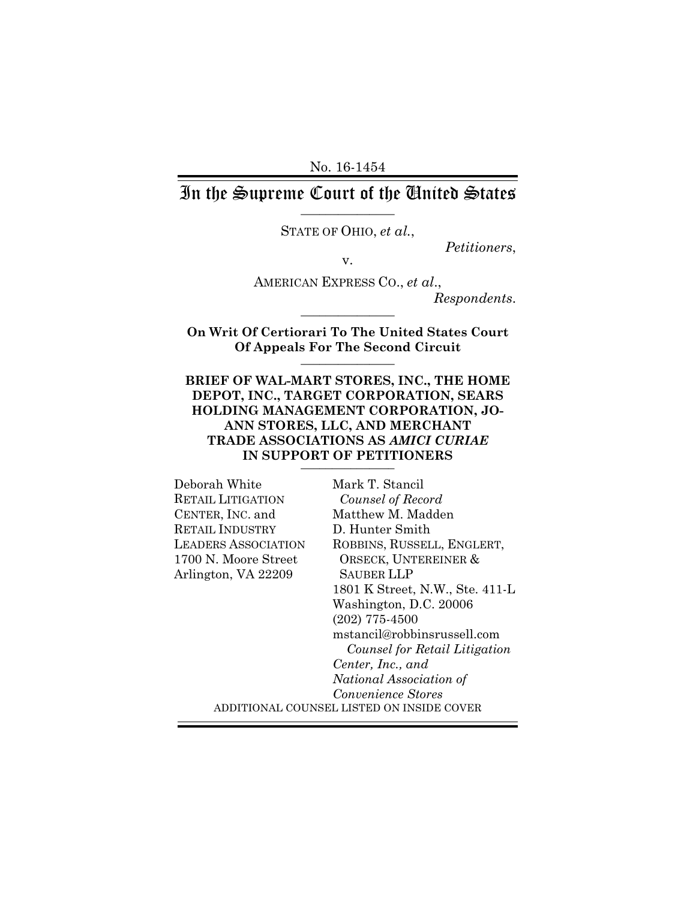No. 16-1454

## In the Supreme Court of the United States \_\_\_\_\_\_\_\_\_\_\_\_\_\_\_

STATE OF OHIO, *et al.*,

*Petitioners*, v.

AMERICAN EXPRESS CO., *et al*.,

*Respondents*. \_\_\_\_\_\_\_\_\_\_\_\_\_\_\_

**On Writ Of Certiorari To The United States Court Of Appeals For The Second Circuit** \_\_\_\_\_\_\_\_\_\_\_\_\_\_\_

#### **BRIEF OF WAL-MART STORES, INC., THE HOME DEPOT, INC., TARGET CORPORATION, SEARS HOLDING MANAGEMENT CORPORATION, JO-ANN STORES, LLC, AND MERCHANT TRADE ASSOCIATIONS AS** *AMICI CURIAE*  IN SUPPORT OF PETITIONERS

| Deborah White              | Mark T. Stancil                           |
|----------------------------|-------------------------------------------|
| RETAIL LITIGATION          | Counsel of Record                         |
| CENTER, INC. and           | Matthew M. Madden                         |
| <b>RETAIL INDUSTRY</b>     | D. Hunter Smith                           |
| <b>LEADERS ASSOCIATION</b> | ROBBINS, RUSSELL, ENGLERT,                |
| 1700 N. Moore Street       | ORSECK, UNTEREINER &                      |
| Arlington, VA 22209        | SAUBER LLP                                |
|                            | 1801 K Street, N.W., Ste. 411-L           |
|                            | Washington, D.C. 20006                    |
|                            | $(202)$ 775-4500                          |
|                            | mstancil@robbinsrussell.com               |
|                            | Counsel for Retail Litigation             |
|                            | Center, Inc., and                         |
|                            | National Association of                   |
|                            | Convenience Stores                        |
|                            | ADDITIONAL COUNSEL LISTED ON INSIDE COVER |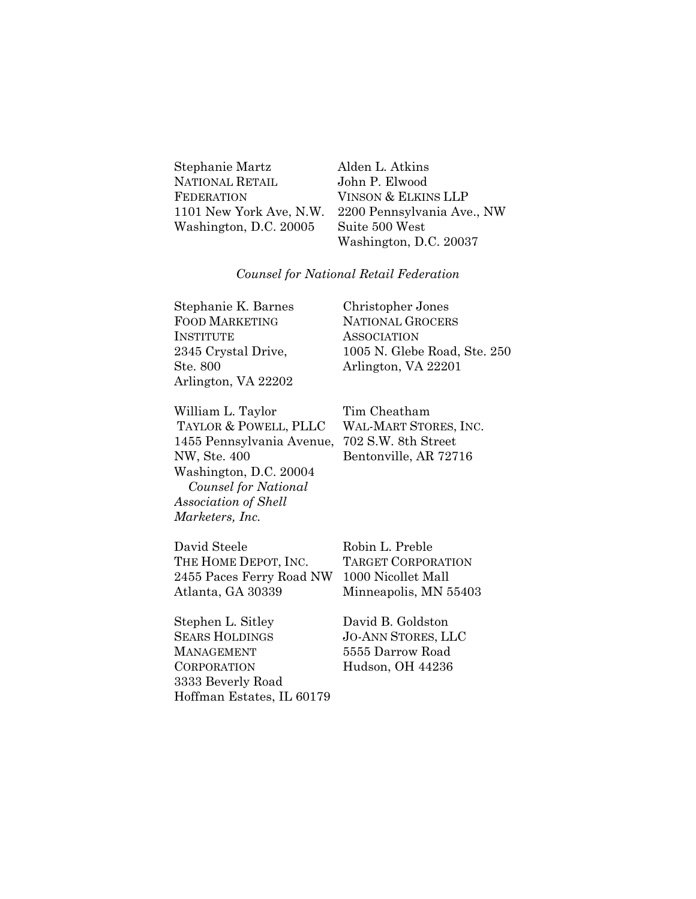| Stephanie Martz         |
|-------------------------|
| <b>NATIONAL RETAIL</b>  |
| <b>FEDERATION</b>       |
| 1101 New York Ave, N.W. |
| Washington, D.C. 20005  |
|                         |

Alden L. Atkins John P. Elwood VINSON & ELKINS LLP 2200 Pennsylvania Ave., NW Suite 500 West Washington, D.C. 20037

#### *Counsel for National Retail Federation*

Stephanie K. Barnes FOOD MARKETING INSTITUTE 2345 Crystal Drive, Ste. 800 Arlington, VA 22202 Christopher Jones NATIONAL GROCERS **ASSOCIATION** 1005 N. Glebe Road, Ste. 250 Arlington, VA 22201

William L. Taylor TAYLOR & POWELL, PLLC 1455 Pennsylvania Avenue, NW, Ste. 400 Washington, D.C. 20004  *Counsel for National Association of Shell Marketers, Inc.* 

Tim Cheatham WAL-MART STORES, INC. 702 S.W. 8th Street Bentonville, AR 72716

David Steele THE HOME DEPOT, INC. 2455 Paces Ferry Road NW Atlanta, GA 30339

Robin L. Preble TARGET CORPORATION 1000 Nicollet Mall Minneapolis, MN 55403

Stephen L. Sitley SEARS HOLDINGS MANAGEMENT **CORPORATION** 3333 Beverly Road Hoffman Estates, IL 60179 David B. Goldston JO-ANN STORES, LLC 5555 Darrow Road Hudson, OH 44236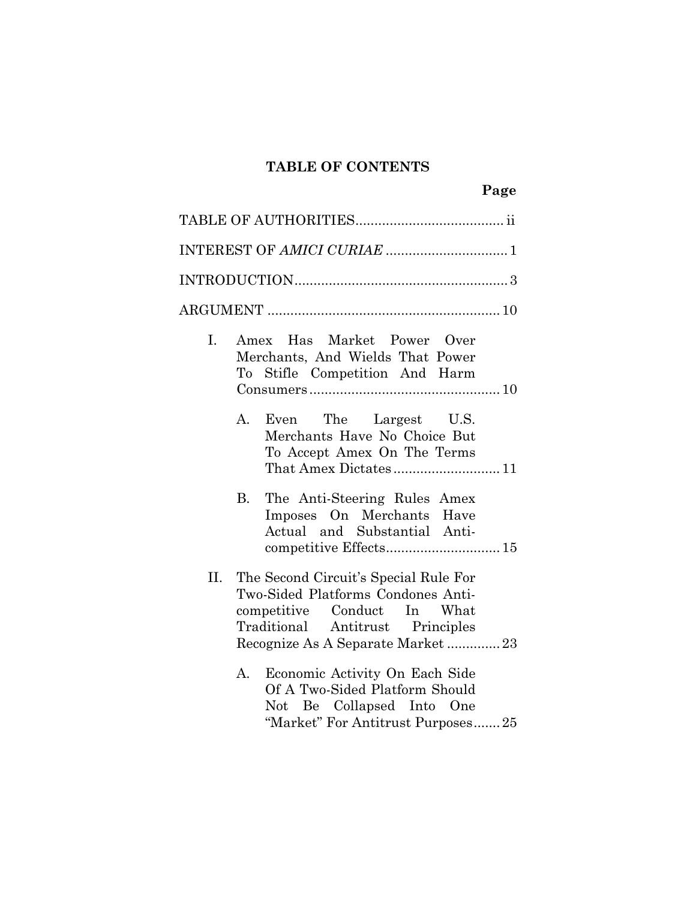# **TABLE OF CONTENTS**

| I.  | Amex Has Market Power Over<br>Merchants, And Wields That Power<br>To Stifle Competition And Harm                                                                                   |
|-----|------------------------------------------------------------------------------------------------------------------------------------------------------------------------------------|
|     | The Largest U.S.<br>А.<br>Even<br>Merchants Have No Choice But<br>To Accept Amex On The Terms<br>That Amex Dictates 11                                                             |
|     | <b>B.</b><br>The Anti-Steering Rules Amex<br>Imposes On Merchants Have<br>Actual and Substantial Anti-<br>competitive Effects 15                                                   |
| II. | The Second Circuit's Special Rule For<br>Two-Sided Platforms Condones Anti-<br>competitive Conduct In What<br>Traditional Antitrust Principles<br>Recognize As A Separate Market23 |
|     | Economic Activity On Each Side<br>А.<br>Of A Two-Sided Platform Should<br>Not Be Collapsed Into One<br>"Market" For Antitrust Purposes25                                           |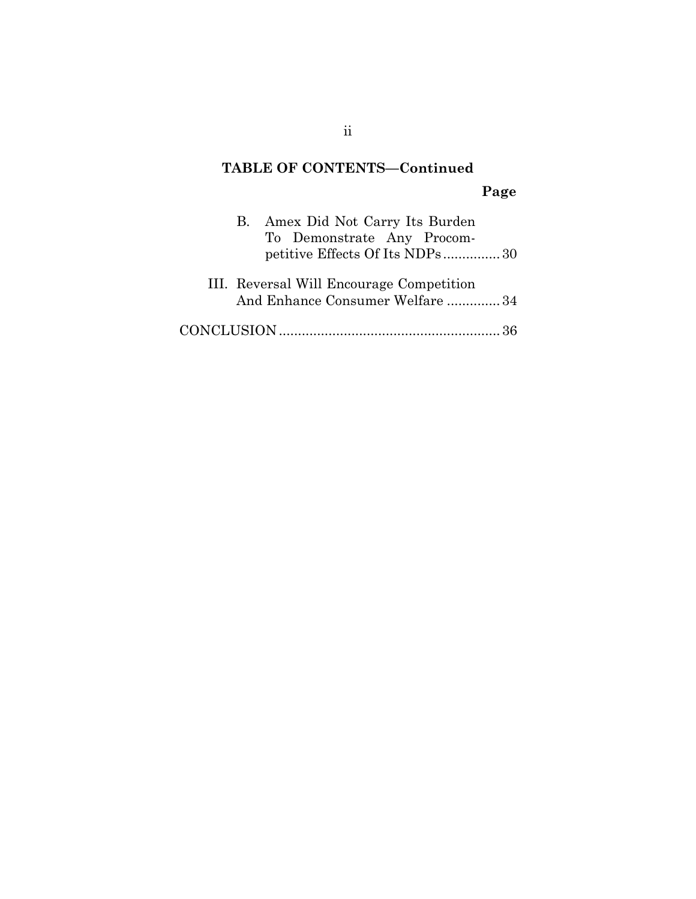# **TABLE OF CONTENTS—Continued Page**

| B. Amex Did Not Carry Its Burden<br>To Demonstrate Any Procom-<br>petitive Effects Of Its NDPs30 |  |
|--------------------------------------------------------------------------------------------------|--|
| III. Reversal Will Encourage Competition<br>And Enhance Consumer Welfare 34                      |  |
|                                                                                                  |  |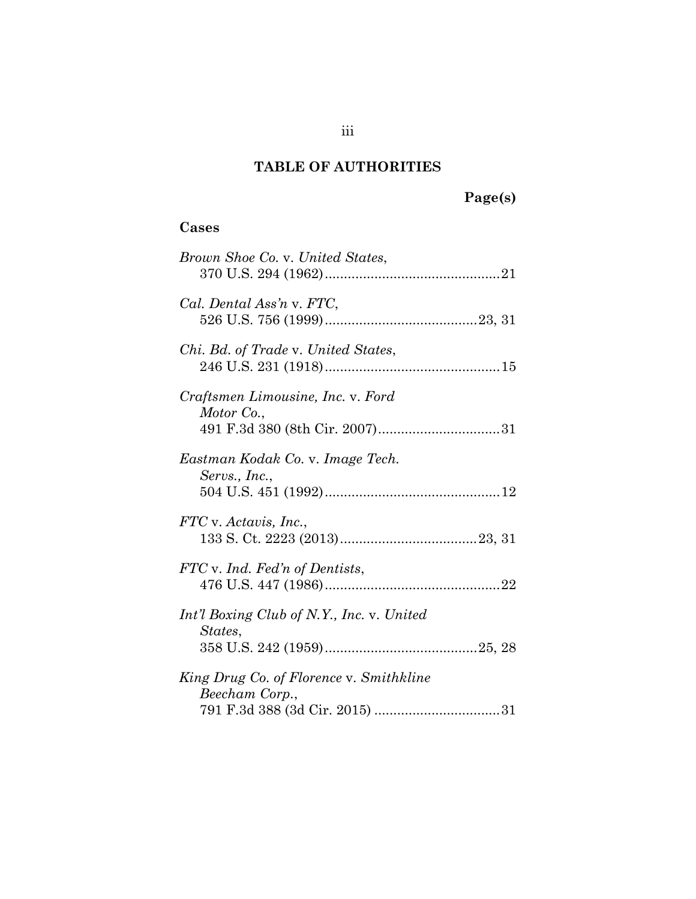# **TABLE OF AUTHORITIES**

# **Page(s)**

# **Cases**

| Brown Shoe Co. v. United States,                          |
|-----------------------------------------------------------|
| Cal. Dental Ass'n v. FTC,                                 |
| <i>Chi. Bd. of Trade v. United States,</i>                |
| Craftsmen Limousine, Inc. v. Ford<br>Motor Co.,           |
| Eastman Kodak Co. v. Image Tech.<br>Servs., Inc.,         |
| FTC v. Actavis, Inc.,                                     |
| FTC v. Ind. Fed'n of Dentists,                            |
| Int'l Boxing Club of N.Y., Inc. v. United<br>States,      |
| King Drug Co. of Florence v. Smithkline<br>Beecham Corp., |
|                                                           |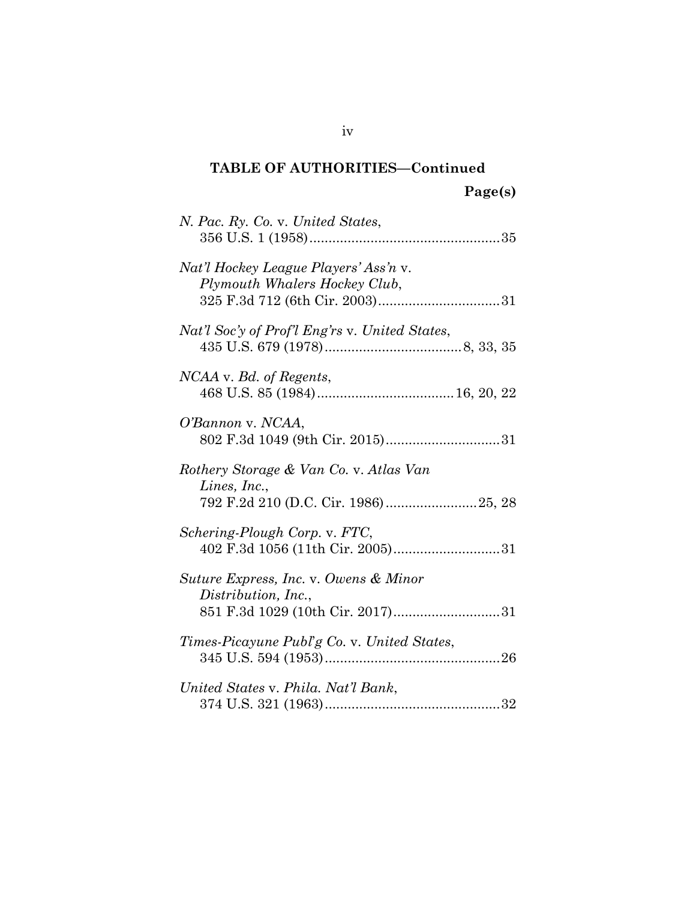# **TABLE OF AUTHORITIES—Continued Page(s)**

| N. Pac. Ry. Co. v. United States,                                                                |
|--------------------------------------------------------------------------------------------------|
| Nat'l Hockey League Players' Ass'n v.<br>Plymouth Whalers Hockey Club,                           |
| Nat'l Soc'y of Prof'l Eng'rs v. United States,                                                   |
| NCAA v. Bd. of Regents,                                                                          |
| O'Bannon v. NCAA,                                                                                |
| Rothery Storage & Van Co. v. Atlas Van<br>Lines, Inc.,<br>792 F.2d 210 (D.C. Cir. 1986)25, 28    |
| Schering-Plough Corp. v. FTC,                                                                    |
| Suture Express, Inc. v. Owens & Minor<br>Distribution, Inc.,<br>851 F.3d 1029 (10th Cir. 2017)31 |
| Times-Picayune Publ'g Co. v. United States,                                                      |
| United States v. Phila. Nat'l Bank,                                                              |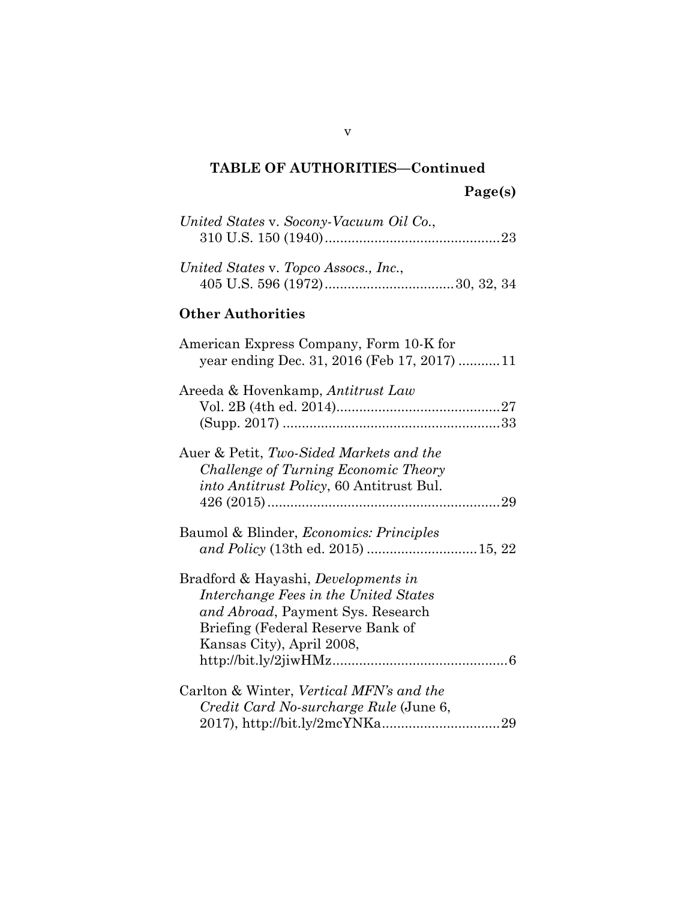# **TABLE OF AUTHORITIES—Continued Page(s)**

| United States v. Socony-Vacuum Oil Co.,                                                                                                                                                    |
|--------------------------------------------------------------------------------------------------------------------------------------------------------------------------------------------|
| United States v. Topco Assocs., Inc.,                                                                                                                                                      |
| <b>Other Authorities</b>                                                                                                                                                                   |
| American Express Company, Form 10-K for<br>year ending Dec. 31, 2016 (Feb 17, 2017) 11                                                                                                     |
| Areeda & Hovenkamp, Antitrust Law                                                                                                                                                          |
| Auer & Petit, Two-Sided Markets and the<br>Challenge of Turning Economic Theory<br>into Antitrust Policy, 60 Antitrust Bul.                                                                |
| Baumol & Blinder, <i>Economics: Principles</i><br>and Policy (13th ed. 2015) 15, 22                                                                                                        |
| Bradford & Hayashi, <i>Developments in</i><br>Interchange Fees in the United States<br>and Abroad, Payment Sys. Research<br>Briefing (Federal Reserve Bank of<br>Kansas City), April 2008, |
| Carlton & Winter, Vertical MFN's and the<br>Credit Card No-surcharge Rule (June 6,                                                                                                         |

v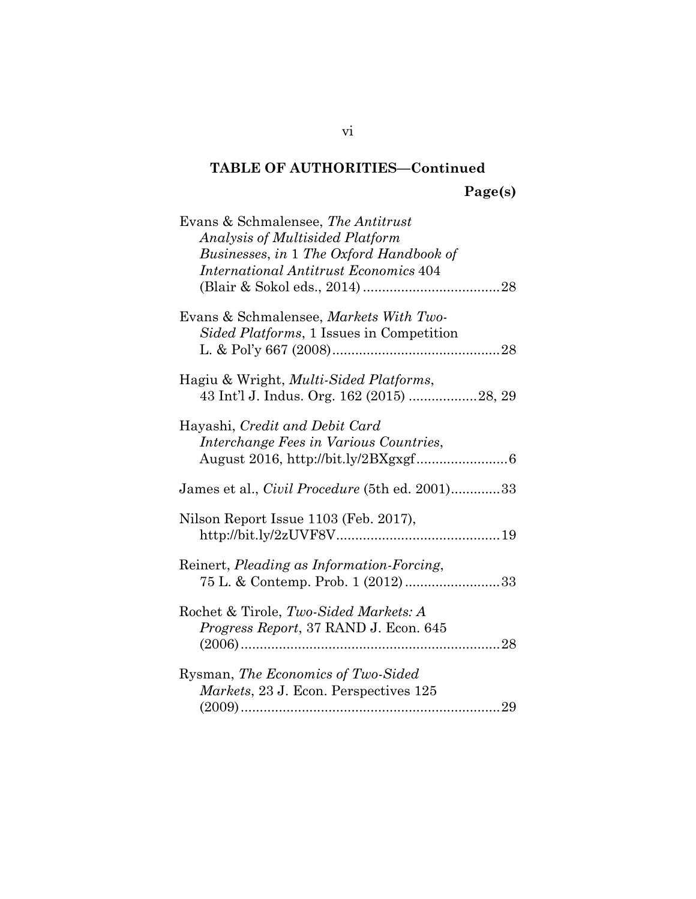# **TABLE OF AUTHORITIES—Continued Page(s)**

| Evans & Schmalensee, The Antitrust<br><b>Analysis of Multisided Platform</b><br>Businesses, in 1 The Oxford Handbook of |
|-------------------------------------------------------------------------------------------------------------------------|
| <b>International Antitrust Economics 404</b>                                                                            |
| Evans & Schmalensee, Markets With Two-<br>Sided Platforms, 1 Issues in Competition                                      |
| Hagiu & Wright, <i>Multi-Sided Platforms</i> ,                                                                          |
| Hayashi, Credit and Debit Card<br>Interchange Fees in Various Countries,                                                |
| James et al., <i>Civil Procedure</i> (5th ed. 2001)33                                                                   |
| Nilson Report Issue 1103 (Feb. 2017),                                                                                   |
| Reinert, Pleading as Information-Forcing,<br>75 L. & Contemp. Prob. 1 (2012)33                                          |
| Rochet & Tirole, Two-Sided Markets: A<br>Progress Report, 37 RAND J. Econ. 645                                          |
| Rysman, The Economics of Two-Sided<br>Markets, 23 J. Econ. Perspectives 125                                             |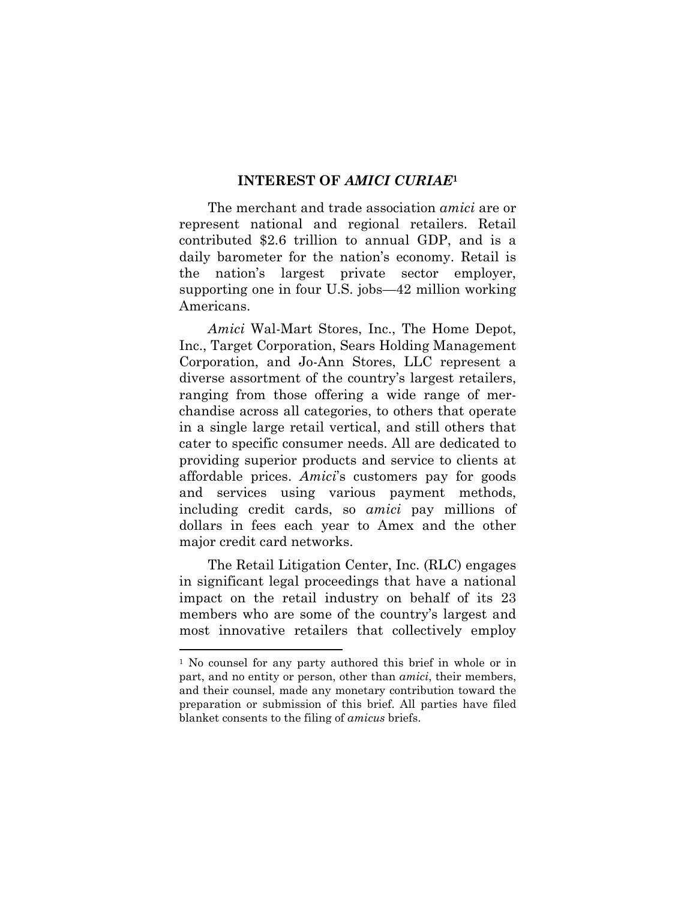#### **INTEREST OF** *AMICI CURIAE***<sup>1</sup>**

The merchant and trade association *amici* are or represent national and regional retailers. Retail contributed \$2.6 trillion to annual GDP, and is a daily barometer for the nation's economy. Retail is the nation's largest private sector employer, supporting one in four U.S. jobs—42 million working Americans.

*Amici* Wal-Mart Stores, Inc., The Home Depot, Inc., Target Corporation, Sears Holding Management Corporation, and Jo-Ann Stores, LLC represent a diverse assortment of the country's largest retailers, ranging from those offering a wide range of merchandise across all categories, to others that operate in a single large retail vertical, and still others that cater to specific consumer needs. All are dedicated to providing superior products and service to clients at affordable prices. *Amici*'s customers pay for goods and services using various payment methods, including credit cards, so *amici* pay millions of dollars in fees each year to Amex and the other major credit card networks.

The Retail Litigation Center, Inc. (RLC) engages in significant legal proceedings that have a national impact on the retail industry on behalf of its 23 members who are some of the country's largest and most innovative retailers that collectively employ

l

<sup>&</sup>lt;sup>1</sup> No counsel for any party authored this brief in whole or in part, and no entity or person, other than *amici*, their members, and their counsel, made any monetary contribution toward the preparation or submission of this brief. All parties have filed blanket consents to the filing of *amicus* briefs.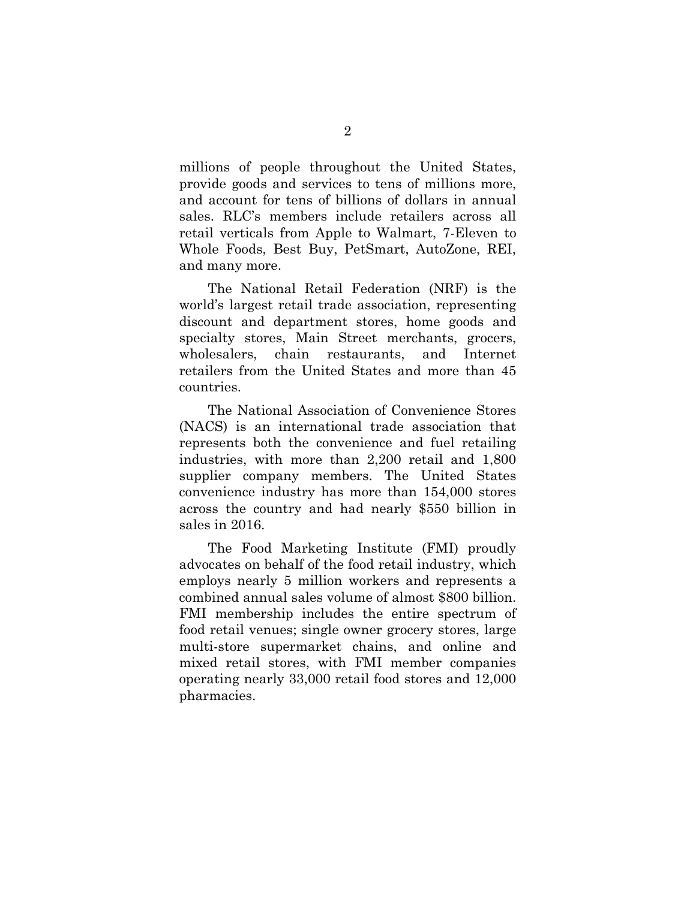millions of people throughout the United States, provide goods and services to tens of millions more, and account for tens of billions of dollars in annual sales. RLC's members include retailers across all retail verticals from Apple to Walmart, 7-Eleven to Whole Foods, Best Buy, PetSmart, AutoZone, REI, and many more.

The National Retail Federation (NRF) is the world's largest retail trade association, representing discount and department stores, home goods and specialty stores, Main Street merchants, grocers, wholesalers, chain restaurants, and Internet retailers from the United States and more than 45 countries.

The National Association of Convenience Stores (NACS) is an international trade association that represents both the convenience and fuel retailing industries, with more than 2,200 retail and 1,800 supplier company members. The United States convenience industry has more than 154,000 stores across the country and had nearly \$550 billion in sales in 2016.

The Food Marketing Institute (FMI) proudly advocates on behalf of the food retail industry, which employs nearly 5 million workers and represents a combined annual sales volume of almost \$800 billion. FMI membership includes the entire spectrum of food retail venues; single owner grocery stores, large multi-store supermarket chains, and online and mixed retail stores, with FMI member companies operating nearly 33,000 retail food stores and 12,000 pharmacies.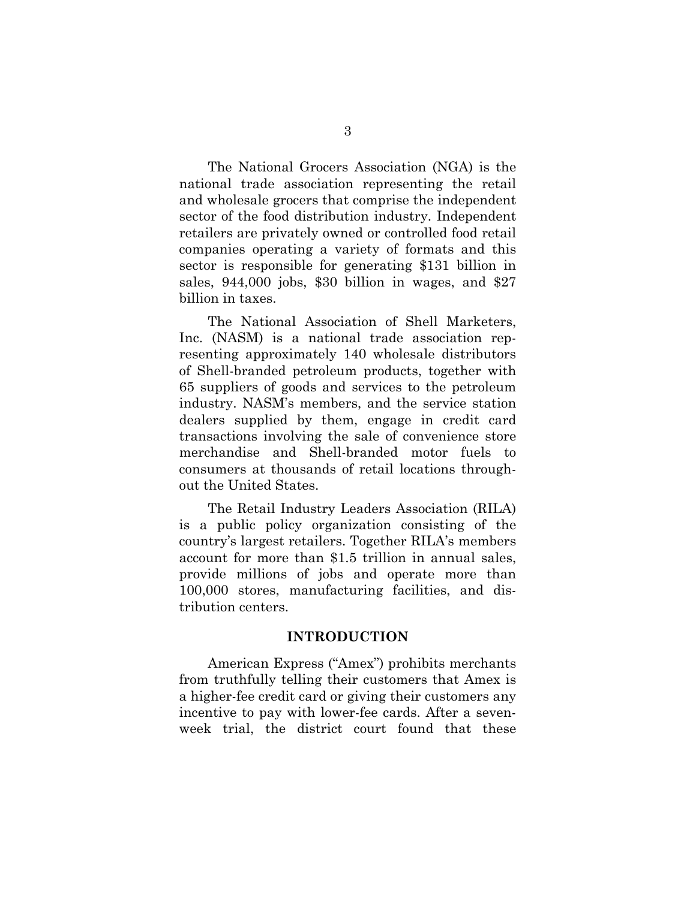The National Grocers Association (NGA) is the national trade association representing the retail and wholesale grocers that comprise the independent sector of the food distribution industry. Independent retailers are privately owned or controlled food retail companies operating a variety of formats and this sector is responsible for generating \$131 billion in sales, 944,000 jobs, \$30 billion in wages, and \$27 billion in taxes.

The National Association of Shell Marketers, Inc. (NASM) is a national trade association representing approximately 140 wholesale distributors of Shell-branded petroleum products, together with 65 suppliers of goods and services to the petroleum industry. NASM's members, and the service station dealers supplied by them, engage in credit card transactions involving the sale of convenience store merchandise and Shell-branded motor fuels to consumers at thousands of retail locations throughout the United States.

The Retail Industry Leaders Association (RILA) is a public policy organization consisting of the country's largest retailers. Together RILA's members account for more than \$1.5 trillion in annual sales, provide millions of jobs and operate more than 100,000 stores, manufacturing facilities, and distribution centers.

#### **INTRODUCTION**

American Express ("Amex") prohibits merchants from truthfully telling their customers that Amex is a higher-fee credit card or giving their customers any incentive to pay with lower-fee cards. After a sevenweek trial, the district court found that these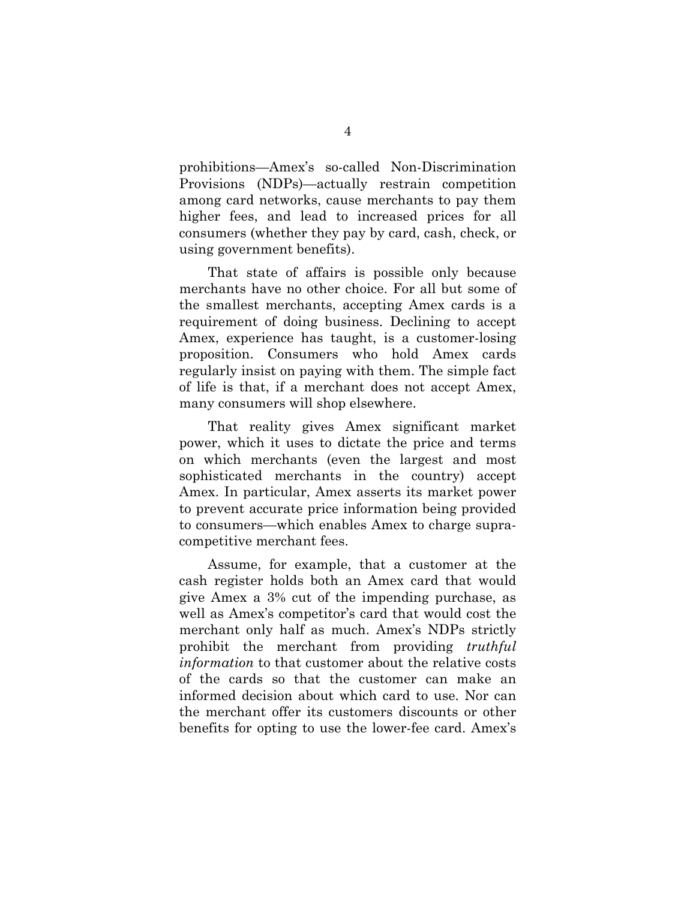prohibitions—Amex's so-called Non-Discrimination Provisions (NDPs)—actually restrain competition among card networks, cause merchants to pay them higher fees, and lead to increased prices for all consumers (whether they pay by card, cash, check, or using government benefits).

That state of affairs is possible only because merchants have no other choice. For all but some of the smallest merchants, accepting Amex cards is a requirement of doing business. Declining to accept Amex, experience has taught, is a customer-losing proposition. Consumers who hold Amex cards regularly insist on paying with them. The simple fact of life is that, if a merchant does not accept Amex, many consumers will shop elsewhere.

That reality gives Amex significant market power, which it uses to dictate the price and terms on which merchants (even the largest and most sophisticated merchants in the country) accept Amex. In particular, Amex asserts its market power to prevent accurate price information being provided to consumers—which enables Amex to charge supracompetitive merchant fees.

Assume, for example, that a customer at the cash register holds both an Amex card that would give Amex a 3% cut of the impending purchase, as well as Amex's competitor's card that would cost the merchant only half as much. Amex's NDPs strictly prohibit the merchant from providing *truthful information* to that customer about the relative costs of the cards so that the customer can make an informed decision about which card to use. Nor can the merchant offer its customers discounts or other benefits for opting to use the lower-fee card. Amex's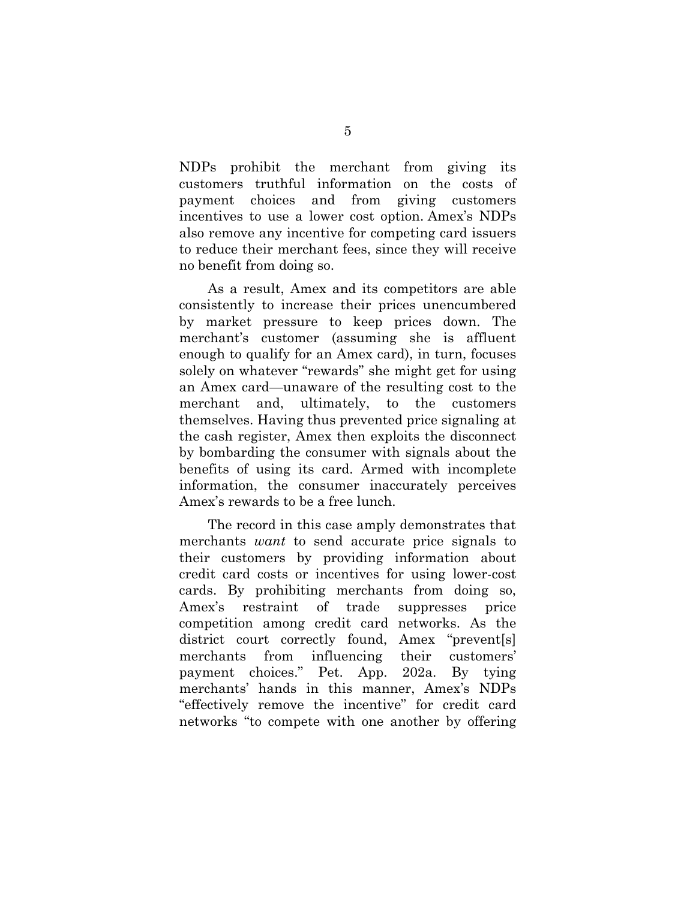NDPs prohibit the merchant from giving its customers truthful information on the costs of payment choices and from giving customers incentives to use a lower cost option. Amex's NDPs also remove any incentive for competing card issuers to reduce their merchant fees, since they will receive no benefit from doing so.

As a result, Amex and its competitors are able consistently to increase their prices unencumbered by market pressure to keep prices down. The merchant's customer (assuming she is affluent enough to qualify for an Amex card), in turn, focuses solely on whatever "rewards" she might get for using an Amex card—unaware of the resulting cost to the merchant and, ultimately, to the customers themselves. Having thus prevented price signaling at the cash register, Amex then exploits the disconnect by bombarding the consumer with signals about the benefits of using its card. Armed with incomplete information, the consumer inaccurately perceives Amex's rewards to be a free lunch.

The record in this case amply demonstrates that merchants *want* to send accurate price signals to their customers by providing information about credit card costs or incentives for using lower-cost cards. By prohibiting merchants from doing so, Amex's restraint of trade suppresses price competition among credit card networks. As the district court correctly found, Amex "prevent[s] merchants from influencing their customers' payment choices." Pet. App. 202a. By tying merchants' hands in this manner, Amex's NDPs "effectively remove the incentive" for credit card networks "to compete with one another by offering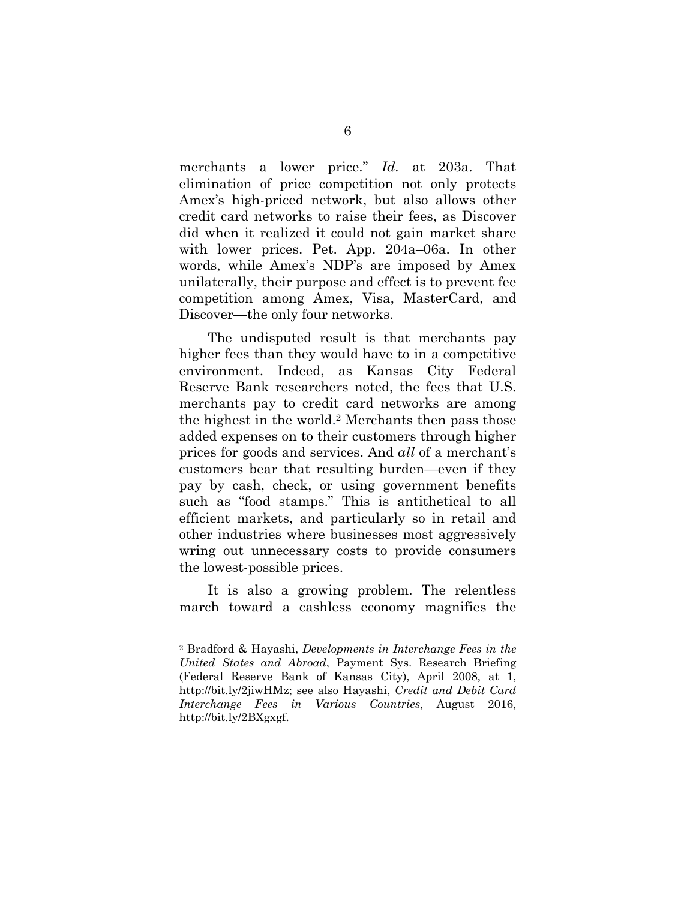merchants a lower price." *Id.* at 203a. That elimination of price competition not only protects Amex's high-priced network, but also allows other credit card networks to raise their fees, as Discover did when it realized it could not gain market share with lower prices. Pet. App. 204a–06a. In other words, while Amex's NDP's are imposed by Amex unilaterally, their purpose and effect is to prevent fee competition among Amex, Visa, MasterCard, and Discover—the only four networks.

The undisputed result is that merchants pay higher fees than they would have to in a competitive environment. Indeed, as Kansas City Federal Reserve Bank researchers noted, the fees that U.S. merchants pay to credit card networks are among the highest in the world.2 Merchants then pass those added expenses on to their customers through higher prices for goods and services. And *all* of a merchant's customers bear that resulting burden—even if they pay by cash, check, or using government benefits such as "food stamps." This is antithetical to all efficient markets, and particularly so in retail and other industries where businesses most aggressively wring out unnecessary costs to provide consumers the lowest-possible prices.

It is also a growing problem. The relentless march toward a cashless economy magnifies the

l

<sup>2</sup> Bradford & Hayashi, *Developments in Interchange Fees in the United States and Abroad*, Payment Sys. Research Briefing (Federal Reserve Bank of Kansas City), April 2008, at 1, http://bit.ly/2jiwHMz; see also Hayashi, *Credit and Debit Card Interchange Fees in Various Countries*, August 2016, http://bit.ly/2BXgxgf.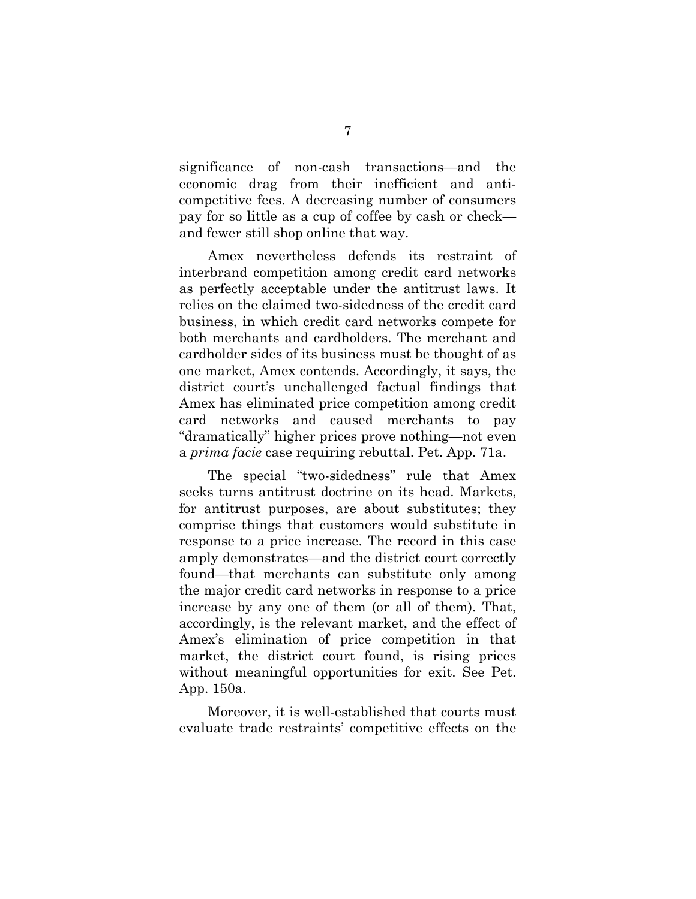significance of non-cash transactions—and the economic drag from their inefficient and anticompetitive fees. A decreasing number of consumers pay for so little as a cup of coffee by cash or check and fewer still shop online that way.

Amex nevertheless defends its restraint of interbrand competition among credit card networks as perfectly acceptable under the antitrust laws. It relies on the claimed two-sidedness of the credit card business, in which credit card networks compete for both merchants and cardholders. The merchant and cardholder sides of its business must be thought of as one market, Amex contends. Accordingly, it says, the district court's unchallenged factual findings that Amex has eliminated price competition among credit card networks and caused merchants to pay "dramatically" higher prices prove nothing—not even a *prima facie* case requiring rebuttal. Pet. App. 71a.

The special "two-sidedness" rule that Amex seeks turns antitrust doctrine on its head. Markets, for antitrust purposes, are about substitutes; they comprise things that customers would substitute in response to a price increase. The record in this case amply demonstrates—and the district court correctly found—that merchants can substitute only among the major credit card networks in response to a price increase by any one of them (or all of them). That, accordingly, is the relevant market, and the effect of Amex's elimination of price competition in that market, the district court found, is rising prices without meaningful opportunities for exit. See Pet. App. 150a.

Moreover, it is well-established that courts must evaluate trade restraints' competitive effects on the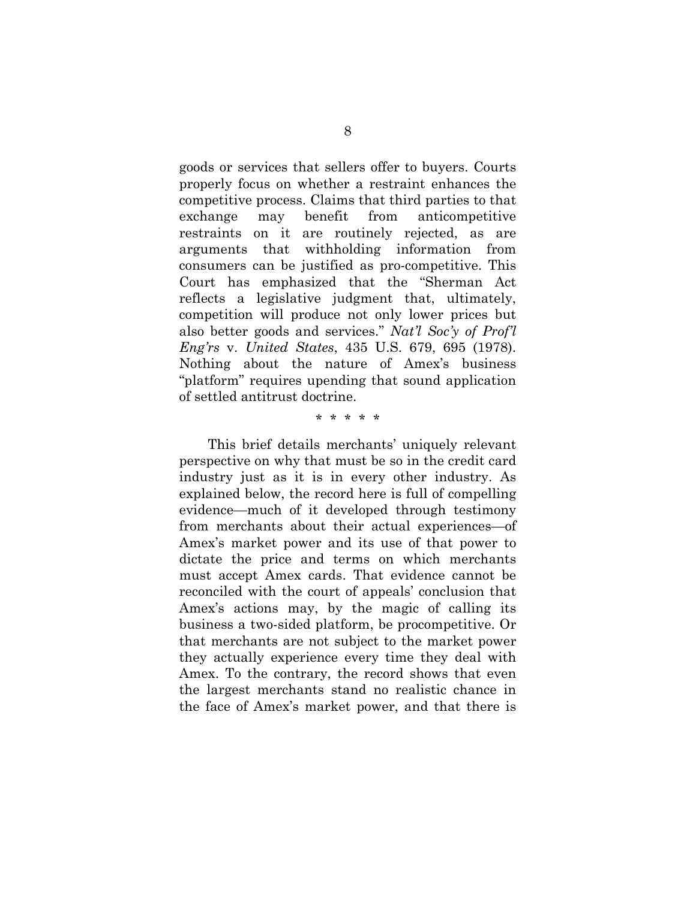goods or services that sellers offer to buyers. Courts properly focus on whether a restraint enhances the competitive process. Claims that third parties to that exchange may benefit from anticompetitive restraints on it are routinely rejected, as are arguments that withholding information from consumers can be justified as pro-competitive. This Court has emphasized that the "Sherman Act reflects a legislative judgment that, ultimately, competition will produce not only lower prices but also better goods and services." *Nat'l Soc'y of Prof'l Eng'rs* v. *United States*, 435 U.S. 679, 695 (1978). Nothing about the nature of Amex's business "platform" requires upending that sound application of settled antitrust doctrine.

#### \* \* \* \* \*

This brief details merchants' uniquely relevant perspective on why that must be so in the credit card industry just as it is in every other industry. As explained below, the record here is full of compelling evidence—much of it developed through testimony from merchants about their actual experiences—of Amex's market power and its use of that power to dictate the price and terms on which merchants must accept Amex cards. That evidence cannot be reconciled with the court of appeals' conclusion that Amex's actions may, by the magic of calling its business a two-sided platform, be procompetitive. Or that merchants are not subject to the market power they actually experience every time they deal with Amex. To the contrary, the record shows that even the largest merchants stand no realistic chance in the face of Amex's market power, and that there is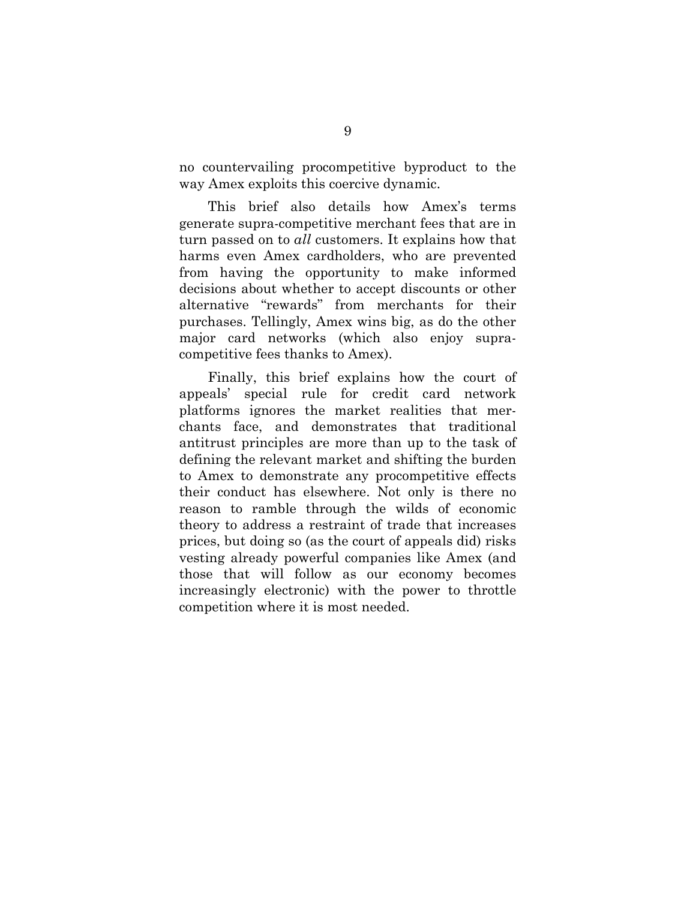no countervailing procompetitive byproduct to the way Amex exploits this coercive dynamic.

This brief also details how Amex's terms generate supra-competitive merchant fees that are in turn passed on to *all* customers. It explains how that harms even Amex cardholders, who are prevented from having the opportunity to make informed decisions about whether to accept discounts or other alternative "rewards" from merchants for their purchases. Tellingly, Amex wins big, as do the other major card networks (which also enjoy supracompetitive fees thanks to Amex).

Finally, this brief explains how the court of appeals' special rule for credit card network platforms ignores the market realities that merchants face, and demonstrates that traditional antitrust principles are more than up to the task of defining the relevant market and shifting the burden to Amex to demonstrate any procompetitive effects their conduct has elsewhere. Not only is there no reason to ramble through the wilds of economic theory to address a restraint of trade that increases prices, but doing so (as the court of appeals did) risks vesting already powerful companies like Amex (and those that will follow as our economy becomes increasingly electronic) with the power to throttle competition where it is most needed.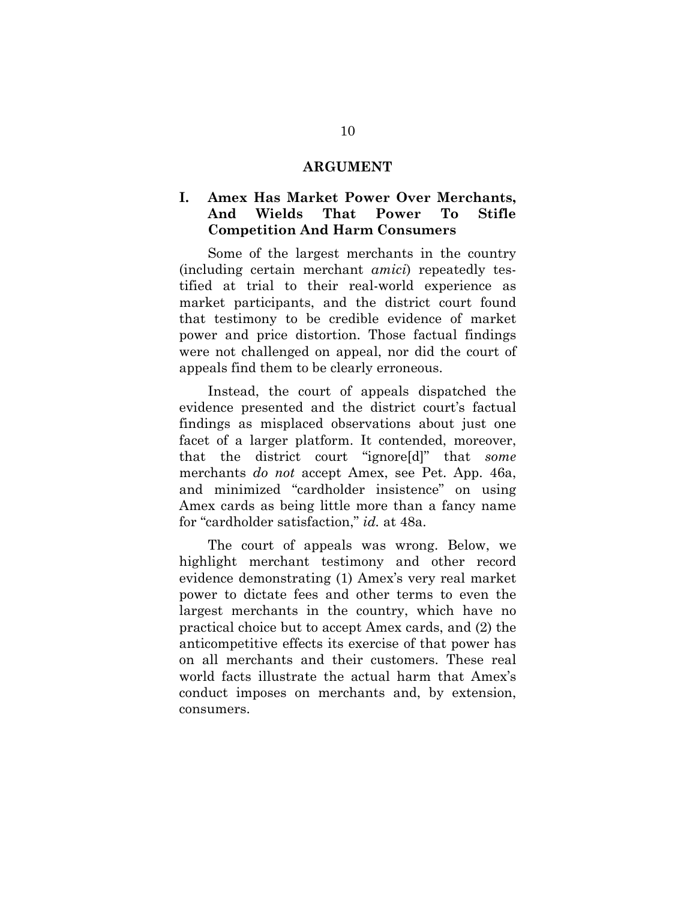#### **ARGUMENT**

### **I. Amex Has Market Power Over Merchants, And Wields That Power To Stifle Competition And Harm Consumers**

Some of the largest merchants in the country (including certain merchant *amici*) repeatedly testified at trial to their real-world experience as market participants, and the district court found that testimony to be credible evidence of market power and price distortion. Those factual findings were not challenged on appeal, nor did the court of appeals find them to be clearly erroneous.

Instead, the court of appeals dispatched the evidence presented and the district court's factual findings as misplaced observations about just one facet of a larger platform. It contended, moreover, that the district court "ignore[d]" that *some* merchants *do not* accept Amex, see Pet. App. 46a, and minimized "cardholder insistence" on using Amex cards as being little more than a fancy name for "cardholder satisfaction," *id.* at 48a.

The court of appeals was wrong. Below, we highlight merchant testimony and other record evidence demonstrating (1) Amex's very real market power to dictate fees and other terms to even the largest merchants in the country, which have no practical choice but to accept Amex cards, and (2) the anticompetitive effects its exercise of that power has on all merchants and their customers. These real world facts illustrate the actual harm that Amex's conduct imposes on merchants and, by extension, consumers.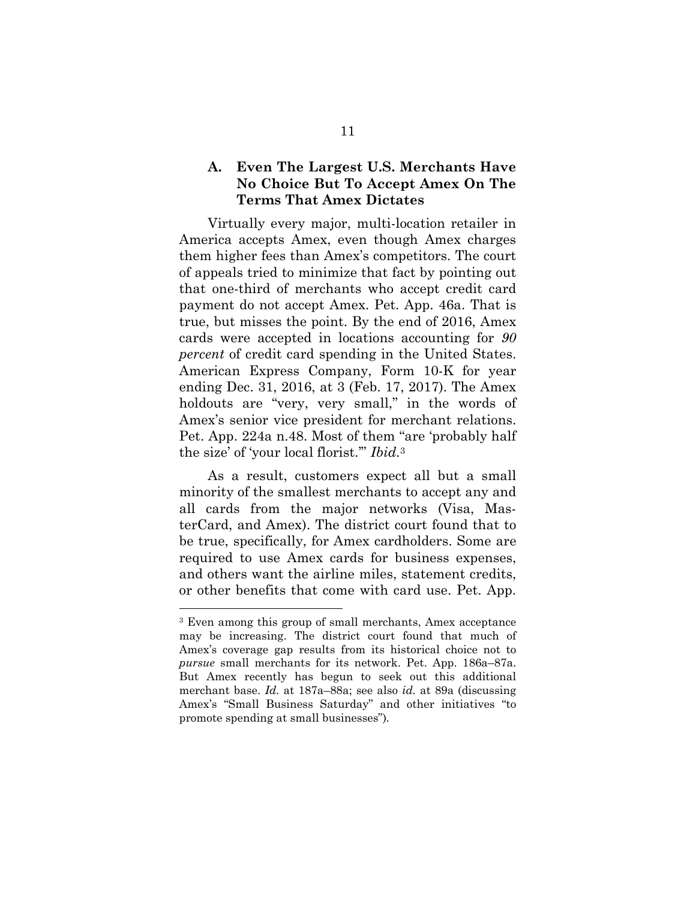### **A. Even The Largest U.S. Merchants Have No Choice But To Accept Amex On The Terms That Amex Dictates**

Virtually every major, multi-location retailer in America accepts Amex, even though Amex charges them higher fees than Amex's competitors. The court of appeals tried to minimize that fact by pointing out that one-third of merchants who accept credit card payment do not accept Amex. Pet. App. 46a. That is true, but misses the point. By the end of 2016, Amex cards were accepted in locations accounting for *90 percent* of credit card spending in the United States. American Express Company, Form 10-K for year ending Dec. 31, 2016, at 3 (Feb. 17, 2017). The Amex holdouts are "very, very small," in the words of Amex's senior vice president for merchant relations. Pet. App. 224a n.48. Most of them "are 'probably half the size' of 'your local florist.'" *Ibid.*<sup>3</sup>

As a result, customers expect all but a small minority of the smallest merchants to accept any and all cards from the major networks (Visa, MasterCard, and Amex). The district court found that to be true, specifically, for Amex cardholders. Some are required to use Amex cards for business expenses, and others want the airline miles, statement credits, or other benefits that come with card use. Pet. App.

l

<sup>3</sup> Even among this group of small merchants, Amex acceptance may be increasing. The district court found that much of Amex's coverage gap results from its historical choice not to *pursue* small merchants for its network. Pet. App. 186a–87a. But Amex recently has begun to seek out this additional merchant base. *Id.* at 187a–88a; see also *id.* at 89a (discussing Amex's "Small Business Saturday" and other initiatives "to promote spending at small businesses")*.*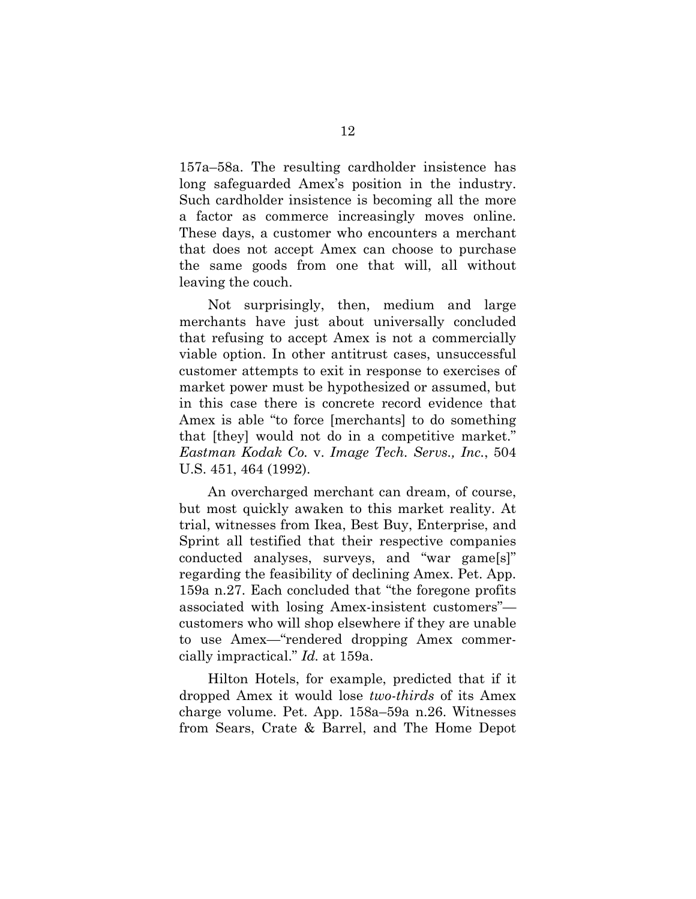157a–58a. The resulting cardholder insistence has long safeguarded Amex's position in the industry. Such cardholder insistence is becoming all the more a factor as commerce increasingly moves online. These days, a customer who encounters a merchant that does not accept Amex can choose to purchase the same goods from one that will, all without leaving the couch.

Not surprisingly, then, medium and large merchants have just about universally concluded that refusing to accept Amex is not a commercially viable option. In other antitrust cases, unsuccessful customer attempts to exit in response to exercises of market power must be hypothesized or assumed, but in this case there is concrete record evidence that Amex is able "to force [merchants] to do something that [they] would not do in a competitive market." *Eastman Kodak Co.* v. *Image Tech. Servs., Inc.*, 504 U.S. 451, 464 (1992).

An overcharged merchant can dream, of course, but most quickly awaken to this market reality. At trial, witnesses from Ikea, Best Buy, Enterprise, and Sprint all testified that their respective companies conducted analyses, surveys, and "war game[s]" regarding the feasibility of declining Amex. Pet. App. 159a n.27. Each concluded that "the foregone profits associated with losing Amex-insistent customers" customers who will shop elsewhere if they are unable to use Amex—"rendered dropping Amex commercially impractical." *Id.* at 159a.

Hilton Hotels, for example, predicted that if it dropped Amex it would lose *two-thirds* of its Amex charge volume. Pet. App. 158a–59a n.26. Witnesses from Sears, Crate & Barrel, and The Home Depot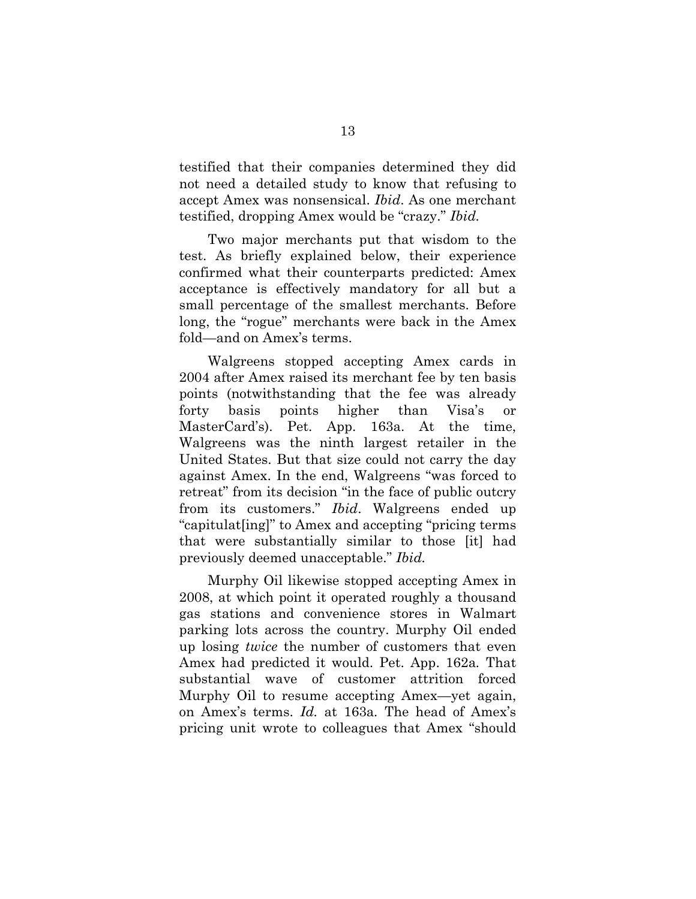testified that their companies determined they did not need a detailed study to know that refusing to accept Amex was nonsensical. *Ibid*. As one merchant testified, dropping Amex would be "crazy." *Ibid.*

Two major merchants put that wisdom to the test. As briefly explained below, their experience confirmed what their counterparts predicted: Amex acceptance is effectively mandatory for all but a small percentage of the smallest merchants. Before long, the "rogue" merchants were back in the Amex fold—and on Amex's terms.

Walgreens stopped accepting Amex cards in 2004 after Amex raised its merchant fee by ten basis points (notwithstanding that the fee was already forty basis points higher than Visa's or MasterCard's). Pet. App. 163a. At the time, Walgreens was the ninth largest retailer in the United States. But that size could not carry the day against Amex. In the end, Walgreens "was forced to retreat" from its decision "in the face of public outcry from its customers." *Ibid*. Walgreens ended up "capitulat[ing]" to Amex and accepting "pricing terms that were substantially similar to those [it] had previously deemed unacceptable." *Ibid.* 

Murphy Oil likewise stopped accepting Amex in 2008, at which point it operated roughly a thousand gas stations and convenience stores in Walmart parking lots across the country. Murphy Oil ended up losing *twice* the number of customers that even Amex had predicted it would. Pet. App. 162a*.* That substantial wave of customer attrition forced Murphy Oil to resume accepting Amex—yet again, on Amex's terms. *Id.* at 163a*.* The head of Amex's pricing unit wrote to colleagues that Amex "should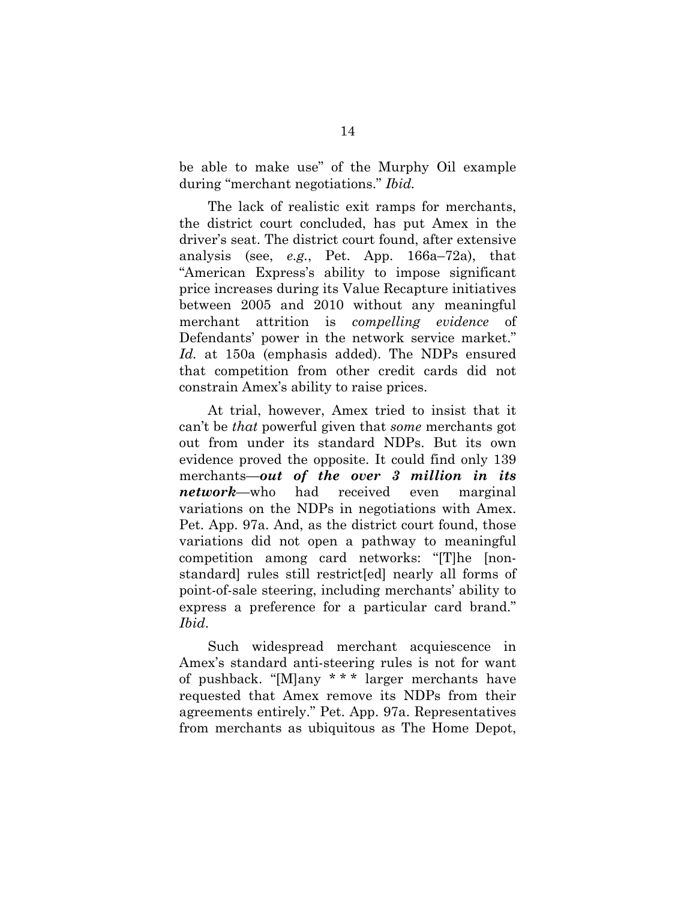be able to make use" of the Murphy Oil example during "merchant negotiations." *Ibid.* 

The lack of realistic exit ramps for merchants, the district court concluded, has put Amex in the driver's seat. The district court found, after extensive analysis (see, *e.g.*, Pet. App. 166a–72a), that "American Express's ability to impose significant price increases during its Value Recapture initiatives between 2005 and 2010 without any meaningful merchant attrition is *compelling evidence* of Defendants' power in the network service market." *Id.* at 150a (emphasis added). The NDPs ensured that competition from other credit cards did not constrain Amex's ability to raise prices.

At trial, however, Amex tried to insist that it can't be *that* powerful given that *some* merchants got out from under its standard NDPs. But its own evidence proved the opposite. It could find only 139 merchants—*out of the over 3 million in its network*—who had received even marginal variations on the NDPs in negotiations with Amex. Pet. App. 97a. And, as the district court found, those variations did not open a pathway to meaningful competition among card networks: "[T]he [nonstandard] rules still restrict[ed] nearly all forms of point-of-sale steering, including merchants' ability to express a preference for a particular card brand." *Ibid*.

Such widespread merchant acquiescence in Amex's standard anti-steering rules is not for want of pushback. "[M]any \* \* \* larger merchants have requested that Amex remove its NDPs from their agreements entirely." Pet. App. 97a. Representatives from merchants as ubiquitous as The Home Depot,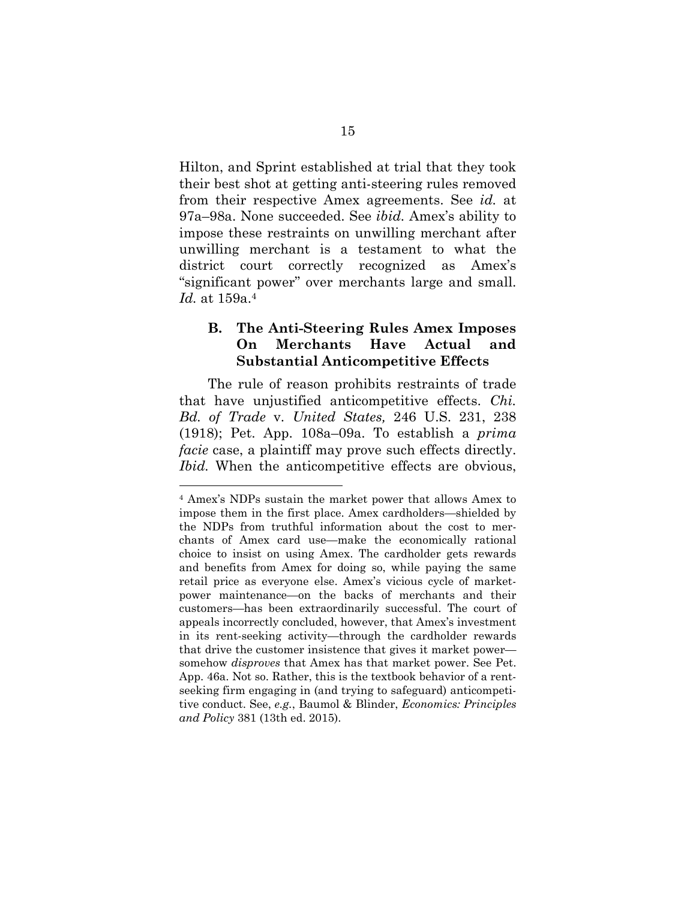Hilton, and Sprint established at trial that they took their best shot at getting anti-steering rules removed from their respective Amex agreements. See *id.* at 97a–98a. None succeeded. See *ibid.* Amex's ability to impose these restraints on unwilling merchant after unwilling merchant is a testament to what the district court correctly recognized as Amex's "significant power" over merchants large and small. *Id.* at 159a.4

### **B. The Anti-Steering Rules Amex Imposes On Merchants Have Actual and Substantial Anticompetitive Effects**

The rule of reason prohibits restraints of trade that have unjustified anticompetitive effects. *Chi. Bd. of Trade* v. *United States,* 246 U.S. 231, 238 (1918); Pet. App. 108a–09a. To establish a *prima facie* case, a plaintiff may prove such effects directly. *Ibid.* When the anticompetitive effects are obvious,

l

<sup>4</sup> Amex's NDPs sustain the market power that allows Amex to impose them in the first place. Amex cardholders—shielded by the NDPs from truthful information about the cost to merchants of Amex card use—make the economically rational choice to insist on using Amex. The cardholder gets rewards and benefits from Amex for doing so, while paying the same retail price as everyone else. Amex's vicious cycle of marketpower maintenance—on the backs of merchants and their customers—has been extraordinarily successful. The court of appeals incorrectly concluded, however, that Amex's investment in its rent-seeking activity—through the cardholder rewards that drive the customer insistence that gives it market power somehow *disproves* that Amex has that market power. See Pet. App. 46a. Not so. Rather, this is the textbook behavior of a rentseeking firm engaging in (and trying to safeguard) anticompetitive conduct. See, *e.g.*, Baumol & Blinder, *Economics: Principles and Policy* 381 (13th ed. 2015).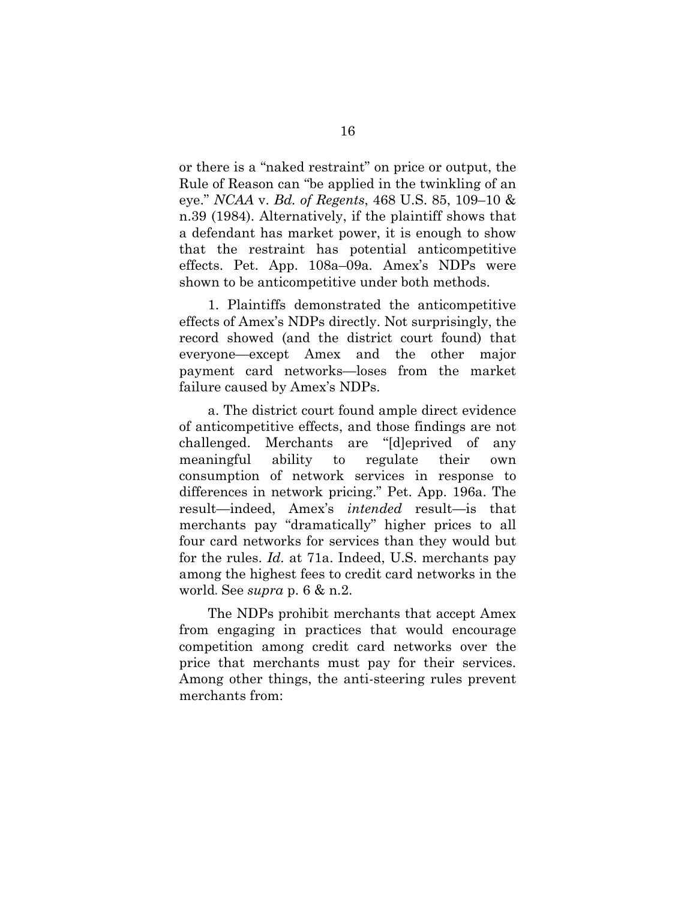or there is a "naked restraint" on price or output, the Rule of Reason can "be applied in the twinkling of an eye." *NCAA* v. *Bd. of Regents*, 468 U.S. 85, 109–10 & n.39 (1984). Alternatively, if the plaintiff shows that a defendant has market power, it is enough to show that the restraint has potential anticompetitive effects. Pet. App. 108a–09a*.* Amex's NDPs were shown to be anticompetitive under both methods.

1. Plaintiffs demonstrated the anticompetitive effects of Amex's NDPs directly. Not surprisingly, the record showed (and the district court found) that everyone—except Amex and the other major payment card networks—loses from the market failure caused by Amex's NDPs.

a. The district court found ample direct evidence of anticompetitive effects, and those findings are not challenged. Merchants are "[d]eprived of any meaningful ability to regulate their own consumption of network services in response to differences in network pricing." Pet. App. 196a. The result—indeed, Amex's *intended* result—is that merchants pay "dramatically" higher prices to all four card networks for services than they would but for the rules. *Id.* at 71a. Indeed, U.S. merchants pay among the highest fees to credit card networks in the world. See *supra* p. 6 & n.2.

The NDPs prohibit merchants that accept Amex from engaging in practices that would encourage competition among credit card networks over the price that merchants must pay for their services. Among other things, the anti-steering rules prevent merchants from: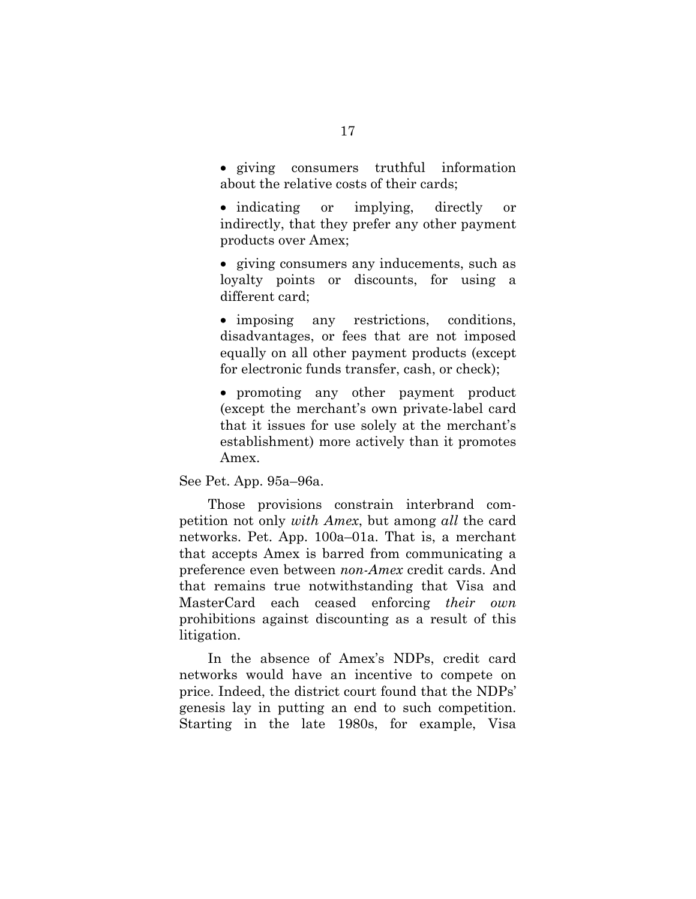giving consumers truthful information about the relative costs of their cards;

• indicating or implying, directly or indirectly, that they prefer any other payment products over Amex;

 giving consumers any inducements, such as loyalty points or discounts, for using a different card;

 imposing any restrictions, conditions, disadvantages, or fees that are not imposed equally on all other payment products (except for electronic funds transfer, cash, or check);

 promoting any other payment product (except the merchant's own private-label card that it issues for use solely at the merchant's establishment) more actively than it promotes Amex.

See Pet. App. 95a–96a.

Those provisions constrain interbrand competition not only *with Amex*, but among *all* the card networks. Pet. App. 100a–01a. That is, a merchant that accepts Amex is barred from communicating a preference even between *non-Amex* credit cards. And that remains true notwithstanding that Visa and MasterCard each ceased enforcing *their own* prohibitions against discounting as a result of this litigation.

In the absence of Amex's NDPs, credit card networks would have an incentive to compete on price. Indeed, the district court found that the NDPs' genesis lay in putting an end to such competition. Starting in the late 1980s, for example, Visa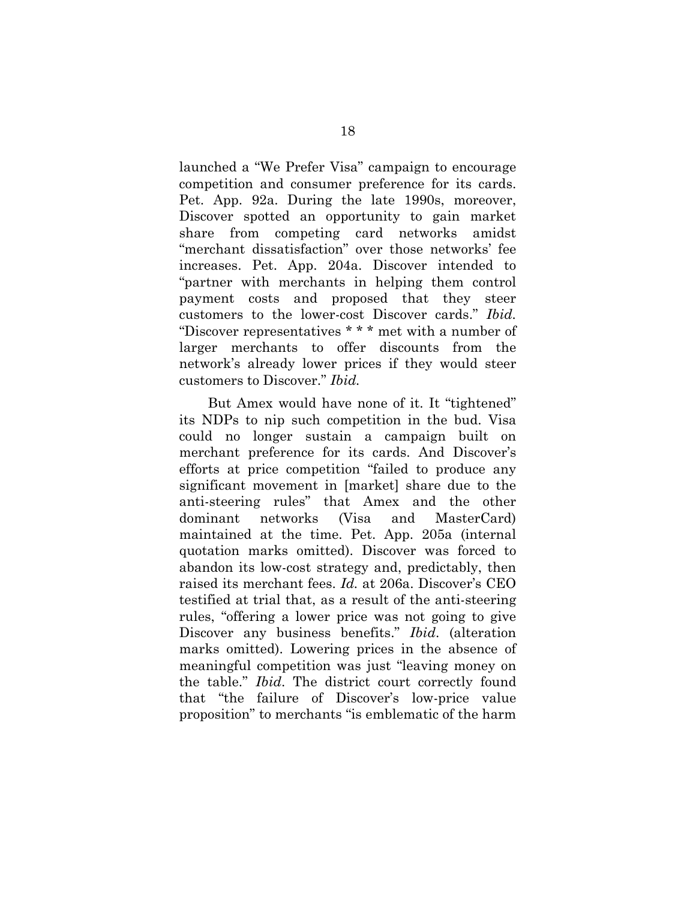launched a "We Prefer Visa" campaign to encourage competition and consumer preference for its cards. Pet. App. 92a. During the late 1990s, moreover, Discover spotted an opportunity to gain market share from competing card networks amidst "merchant dissatisfaction" over those networks' fee increases. Pet. App. 204a. Discover intended to "partner with merchants in helping them control payment costs and proposed that they steer customers to the lower-cost Discover cards." *Ibid.*  "Discover representatives \* \* \* met with a number of larger merchants to offer discounts from the network's already lower prices if they would steer customers to Discover." *Ibid.*

But Amex would have none of it. It "tightened" its NDPs to nip such competition in the bud. Visa could no longer sustain a campaign built on merchant preference for its cards. And Discover's efforts at price competition "failed to produce any significant movement in [market] share due to the anti-steering rules" that Amex and the other dominant networks (Visa and MasterCard) maintained at the time. Pet. App. 205a (internal quotation marks omitted). Discover was forced to abandon its low-cost strategy and, predictably, then raised its merchant fees. *Id.* at 206a. Discover's CEO testified at trial that, as a result of the anti-steering rules, "offering a lower price was not going to give Discover any business benefits." *Ibid*. (alteration marks omitted). Lowering prices in the absence of meaningful competition was just "leaving money on the table." *Ibid*. The district court correctly found that "the failure of Discover's low-price value proposition" to merchants "is emblematic of the harm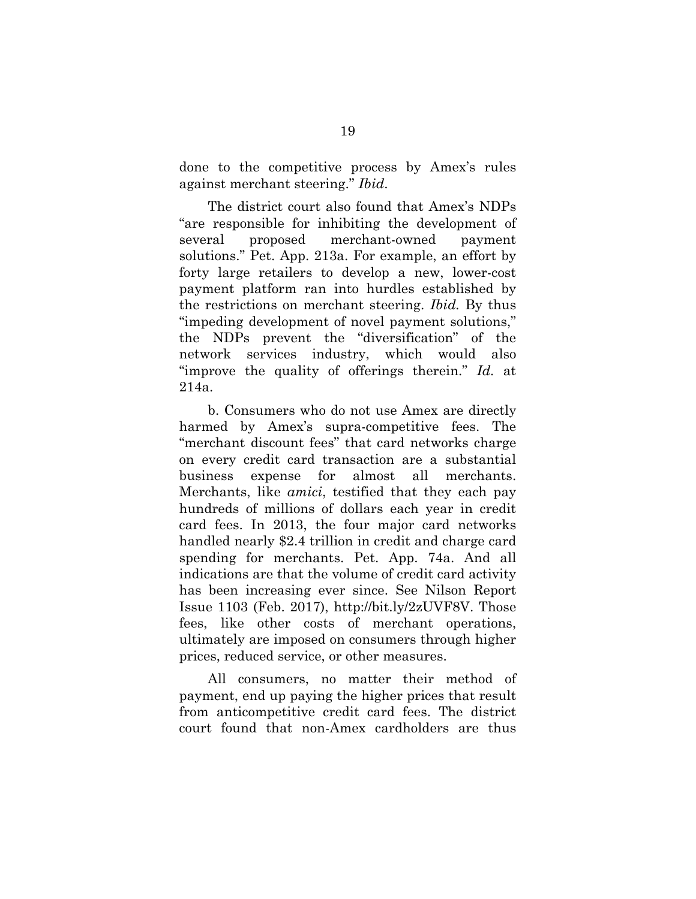done to the competitive process by Amex's rules against merchant steering." *Ibid*.

The district court also found that Amex's NDPs "are responsible for inhibiting the development of several proposed merchant-owned payment solutions." Pet. App. 213a. For example, an effort by forty large retailers to develop a new, lower-cost payment platform ran into hurdles established by the restrictions on merchant steering. *Ibid.* By thus "impeding development of novel payment solutions," the NDPs prevent the "diversification" of the network services industry, which would also "improve the quality of offerings therein." *Id.* at 214a.

b. Consumers who do not use Amex are directly harmed by Amex's supra-competitive fees. The "merchant discount fees" that card networks charge on every credit card transaction are a substantial business expense for almost all merchants. Merchants, like *amici*, testified that they each pay hundreds of millions of dollars each year in credit card fees. In 2013, the four major card networks handled nearly \$2.4 trillion in credit and charge card spending for merchants. Pet. App. 74a. And all indications are that the volume of credit card activity has been increasing ever since. See Nilson Report Issue 1103 (Feb. 2017), http://bit.ly/2zUVF8V. Those fees, like other costs of merchant operations, ultimately are imposed on consumers through higher prices, reduced service, or other measures.

All consumers, no matter their method of payment, end up paying the higher prices that result from anticompetitive credit card fees. The district court found that non-Amex cardholders are thus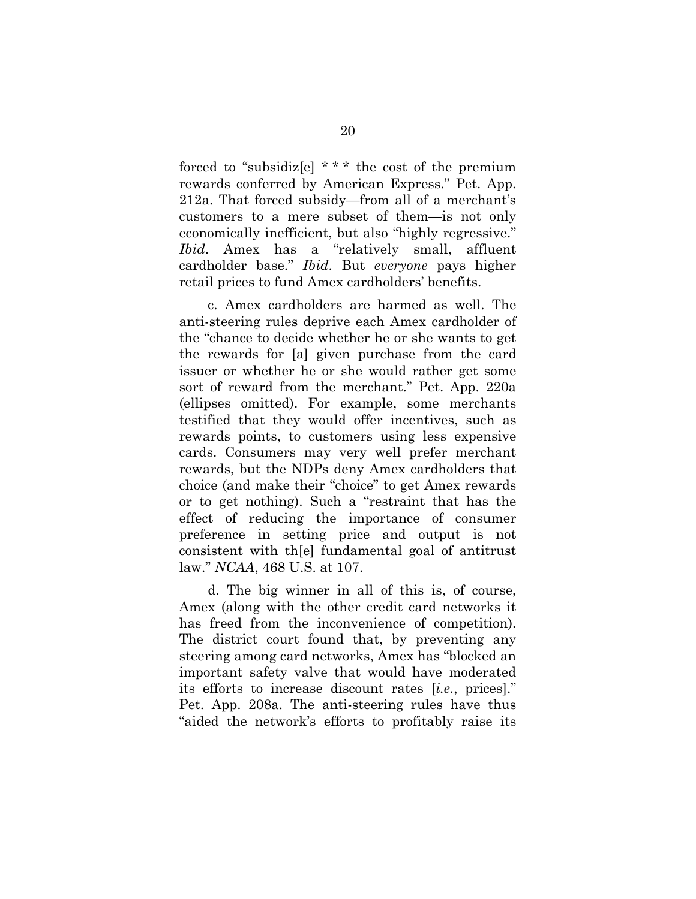forced to "subsidiz[e]  $***$  the cost of the premium rewards conferred by American Express." Pet. App. 212a. That forced subsidy—from all of a merchant's customers to a mere subset of them—is not only economically inefficient, but also "highly regressive." *Ibid*. Amex has a "relatively small, affluent cardholder base." *Ibid*. But *everyone* pays higher retail prices to fund Amex cardholders' benefits.

c. Amex cardholders are harmed as well. The anti-steering rules deprive each Amex cardholder of the "chance to decide whether he or she wants to get the rewards for [a] given purchase from the card issuer or whether he or she would rather get some sort of reward from the merchant." Pet. App. 220a (ellipses omitted). For example, some merchants testified that they would offer incentives, such as rewards points, to customers using less expensive cards. Consumers may very well prefer merchant rewards, but the NDPs deny Amex cardholders that choice (and make their "choice" to get Amex rewards or to get nothing). Such a "restraint that has the effect of reducing the importance of consumer preference in setting price and output is not consistent with th[e] fundamental goal of antitrust law." *NCAA*, 468 U.S. at 107.

d. The big winner in all of this is, of course, Amex (along with the other credit card networks it has freed from the inconvenience of competition). The district court found that, by preventing any steering among card networks, Amex has "blocked an important safety valve that would have moderated its efforts to increase discount rates [*i.e.*, prices]." Pet. App. 208a. The anti-steering rules have thus "aided the network's efforts to profitably raise its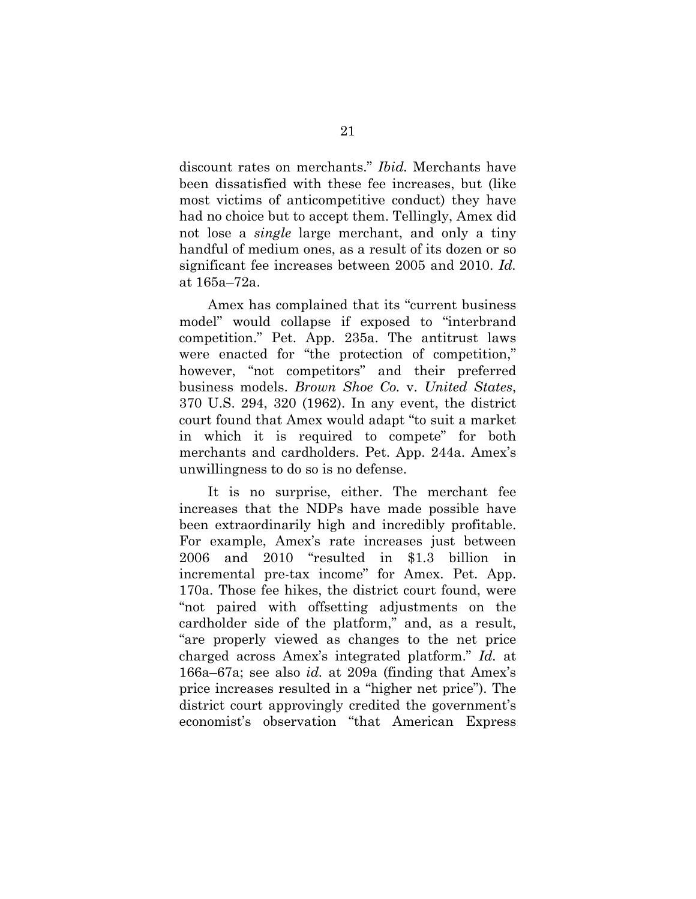discount rates on merchants." *Ibid.* Merchants have been dissatisfied with these fee increases, but (like most victims of anticompetitive conduct) they have had no choice but to accept them. Tellingly, Amex did not lose a *single* large merchant, and only a tiny handful of medium ones, as a result of its dozen or so significant fee increases between 2005 and 2010. *Id.* at 165a–72a.

Amex has complained that its "current business model" would collapse if exposed to "interbrand competition." Pet. App. 235a. The antitrust laws were enacted for "the protection of competition," however, "not competitors" and their preferred business models. *Brown Shoe Co.* v. *United States*, 370 U.S. 294, 320 (1962). In any event, the district court found that Amex would adapt "to suit a market in which it is required to compete" for both merchants and cardholders. Pet. App. 244a. Amex's unwillingness to do so is no defense.

It is no surprise, either. The merchant fee increases that the NDPs have made possible have been extraordinarily high and incredibly profitable. For example, Amex's rate increases just between 2006 and 2010 "resulted in \$1.3 billion in incremental pre-tax income" for Amex. Pet. App. 170a. Those fee hikes, the district court found, were "not paired with offsetting adjustments on the cardholder side of the platform," and, as a result, "are properly viewed as changes to the net price charged across Amex's integrated platform." *Id.* at 166a–67a; see also *id.* at 209a (finding that Amex's price increases resulted in a "higher net price"). The district court approvingly credited the government's economist's observation "that American Express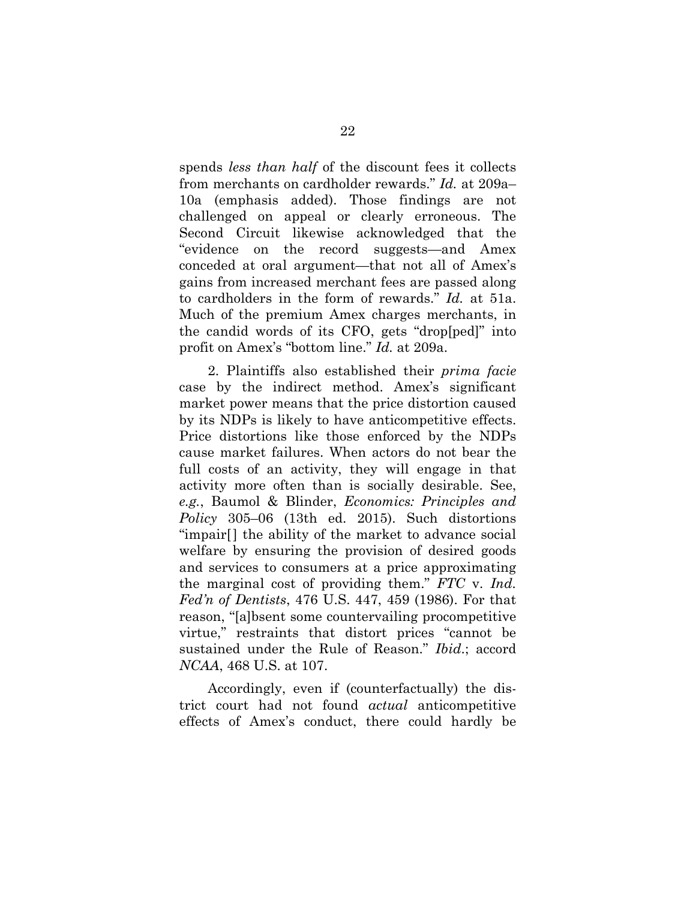spends *less than half* of the discount fees it collects from merchants on cardholder rewards." *Id.* at 209a– 10a (emphasis added). Those findings are not challenged on appeal or clearly erroneous. The Second Circuit likewise acknowledged that the "evidence on the record suggests—and Amex conceded at oral argument—that not all of Amex's gains from increased merchant fees are passed along to cardholders in the form of rewards." *Id.* at 51a. Much of the premium Amex charges merchants, in the candid words of its CFO, gets "drop[ped]" into profit on Amex's "bottom line." *Id.* at 209a.

2. Plaintiffs also established their *prima facie* case by the indirect method. Amex's significant market power means that the price distortion caused by its NDPs is likely to have anticompetitive effects. Price distortions like those enforced by the NDPs cause market failures. When actors do not bear the full costs of an activity, they will engage in that activity more often than is socially desirable. See, *e.g.*, Baumol & Blinder, *Economics: Principles and Policy* 305–06 (13th ed. 2015). Such distortions "impair[] the ability of the market to advance social welfare by ensuring the provision of desired goods and services to consumers at a price approximating the marginal cost of providing them." *FTC* v. *Ind. Fed'n of Dentists*, 476 U.S. 447, 459 (1986). For that reason, "[a]bsent some countervailing procompetitive virtue," restraints that distort prices "cannot be sustained under the Rule of Reason." *Ibid*.; accord *NCAA*, 468 U.S. at 107.

Accordingly, even if (counterfactually) the district court had not found *actual* anticompetitive effects of Amex's conduct, there could hardly be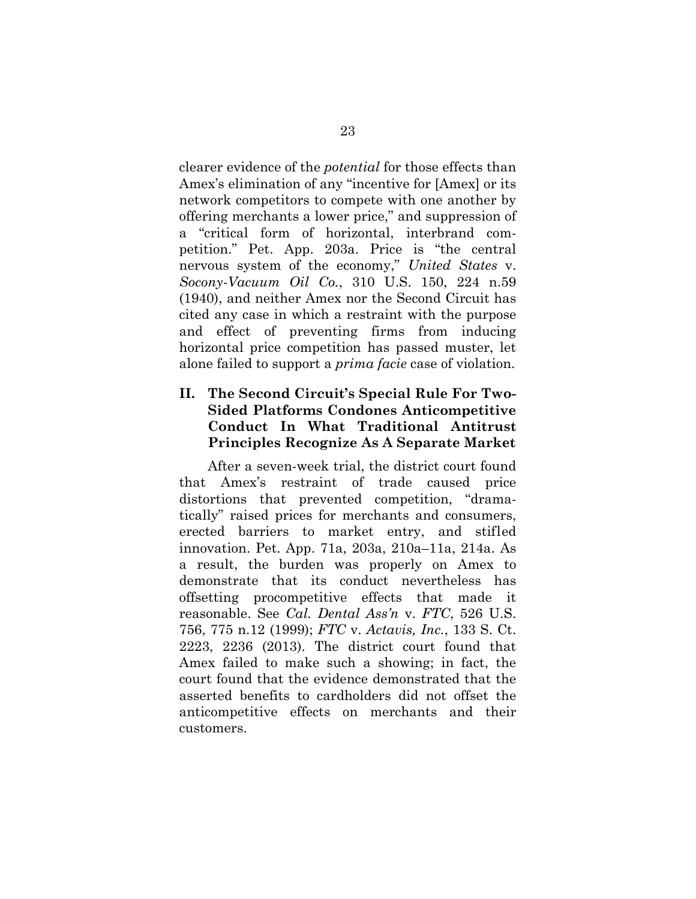clearer evidence of the *potential* for those effects than Amex's elimination of any "incentive for [Amex] or its network competitors to compete with one another by offering merchants a lower price," and suppression of a "critical form of horizontal, interbrand competition." Pet. App. 203a. Price is "the central nervous system of the economy," *United States* v. *Socony-Vacuum Oil Co.*, 310 U.S. 150, 224 n.59 (1940), and neither Amex nor the Second Circuit has cited any case in which a restraint with the purpose and effect of preventing firms from inducing horizontal price competition has passed muster, let alone failed to support a *prima facie* case of violation.

## **II. The Second Circuit's Special Rule For Two-Sided Platforms Condones Anticompetitive Conduct In What Traditional Antitrust Principles Recognize As A Separate Market**

 After a seven-week trial, the district court found that Amex's restraint of trade caused price distortions that prevented competition, "dramatically" raised prices for merchants and consumers, erected barriers to market entry, and stifled innovation. Pet. App. 71a, 203a, 210a–11a, 214a. As a result, the burden was properly on Amex to demonstrate that its conduct nevertheless has offsetting procompetitive effects that made it reasonable. See *Cal. Dental Ass'n* v. *FTC*, 526 U.S. 756, 775 n.12 (1999); *FTC* v. *Actavis, Inc.*, 133 S. Ct. 2223, 2236 (2013). The district court found that Amex failed to make such a showing; in fact, the court found that the evidence demonstrated that the asserted benefits to cardholders did not offset the anticompetitive effects on merchants and their customers.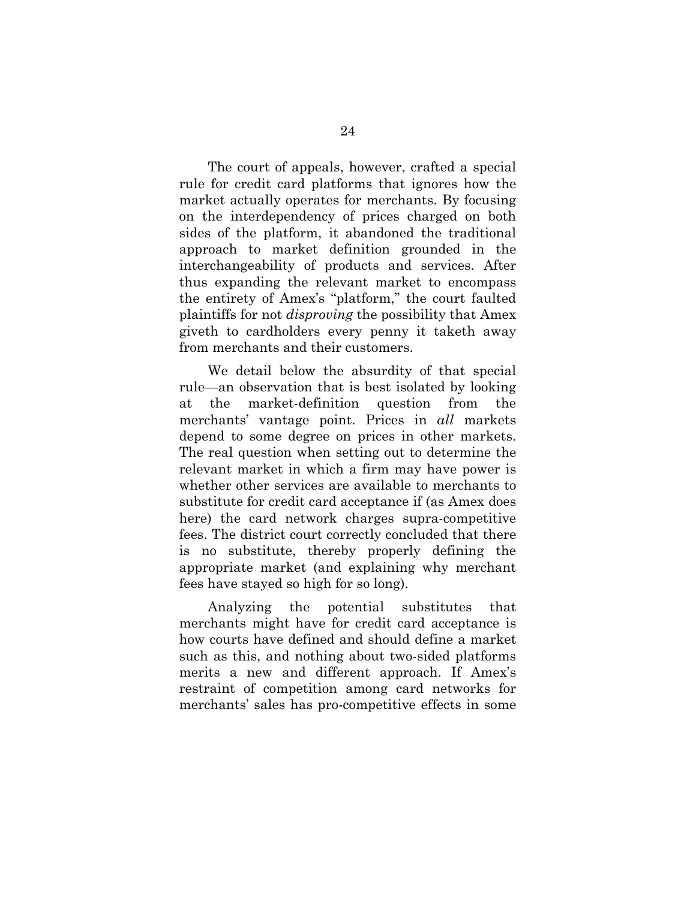The court of appeals, however, crafted a special rule for credit card platforms that ignores how the market actually operates for merchants. By focusing on the interdependency of prices charged on both sides of the platform, it abandoned the traditional approach to market definition grounded in the interchangeability of products and services. After thus expanding the relevant market to encompass the entirety of Amex's "platform," the court faulted plaintiffs for not *disproving* the possibility that Amex giveth to cardholders every penny it taketh away from merchants and their customers.

 We detail below the absurdity of that special rule—an observation that is best isolated by looking at the market-definition question from the merchants' vantage point. Prices in *all* markets depend to some degree on prices in other markets. The real question when setting out to determine the relevant market in which a firm may have power is whether other services are available to merchants to substitute for credit card acceptance if (as Amex does here) the card network charges supra-competitive fees. The district court correctly concluded that there is no substitute, thereby properly defining the appropriate market (and explaining why merchant fees have stayed so high for so long).

 Analyzing the potential substitutes that merchants might have for credit card acceptance is how courts have defined and should define a market such as this, and nothing about two-sided platforms merits a new and different approach. If Amex's restraint of competition among card networks for merchants' sales has pro-competitive effects in some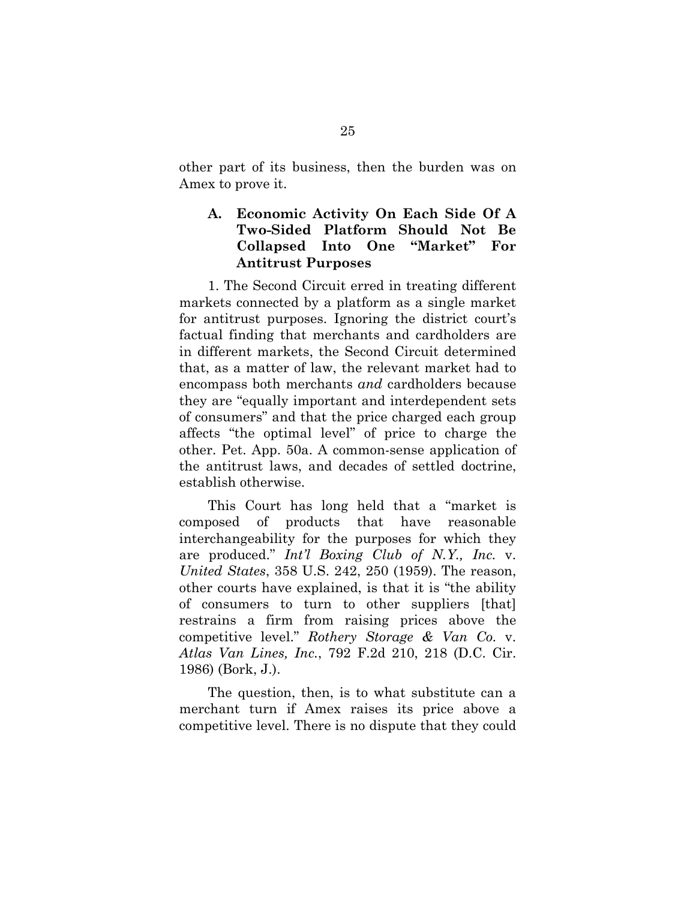other part of its business, then the burden was on Amex to prove it.

### **A. Economic Activity On Each Side Of A Two-Sided Platform Should Not Be Collapsed Into One "Market" For Antitrust Purposes**

1. The Second Circuit erred in treating different markets connected by a platform as a single market for antitrust purposes. Ignoring the district court's factual finding that merchants and cardholders are in different markets, the Second Circuit determined that, as a matter of law, the relevant market had to encompass both merchants *and* cardholders because they are "equally important and interdependent sets of consumers" and that the price charged each group affects "the optimal level" of price to charge the other. Pet. App. 50a. A common-sense application of the antitrust laws, and decades of settled doctrine, establish otherwise.

This Court has long held that a "market is composed of products that have reasonable interchangeability for the purposes for which they are produced." *Int'l Boxing Club of N.Y., Inc.* v. *United States*, 358 U.S. 242, 250 (1959). The reason, other courts have explained, is that it is "the ability of consumers to turn to other suppliers [that] restrains a firm from raising prices above the competitive level." *Rothery Storage & Van Co.* v. *Atlas Van Lines, Inc.*, 792 F.2d 210, 218 (D.C. Cir. 1986) (Bork, J.).

The question, then, is to what substitute can a merchant turn if Amex raises its price above a competitive level. There is no dispute that they could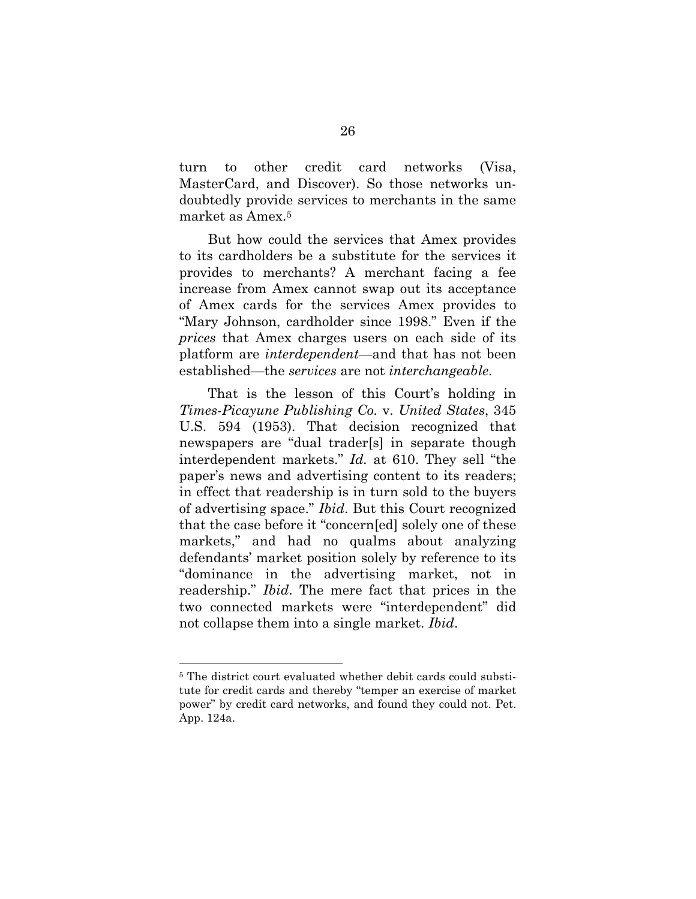turn to other credit card networks (Visa, MasterCard, and Discover). So those networks undoubtedly provide services to merchants in the same market as Amex.5

But how could the services that Amex provides to its cardholders be a substitute for the services it provides to merchants? A merchant facing a fee increase from Amex cannot swap out its acceptance of Amex cards for the services Amex provides to "Mary Johnson, cardholder since 1998." Even if the *prices* that Amex charges users on each side of its platform are *interdependent*—and that has not been established—the *services* are not *interchangeable*.

That is the lesson of this Court's holding in *Times-Picayune Publishing Co.* v. *United States*, 345 U.S. 594 (1953). That decision recognized that newspapers are "dual trader[s] in separate though interdependent markets." *Id.* at 610. They sell "the paper's news and advertising content to its readers; in effect that readership is in turn sold to the buyers of advertising space." *Ibid*. But this Court recognized that the case before it "concern[ed] solely one of these markets," and had no qualms about analyzing defendants' market position solely by reference to its "dominance in the advertising market, not in readership." *Ibid*. The mere fact that prices in the two connected markets were "interdependent" did not collapse them into a single market. *Ibid*.

l

<sup>&</sup>lt;sup>5</sup> The district court evaluated whether debit cards could substitute for credit cards and thereby "temper an exercise of market power" by credit card networks, and found they could not. Pet. App. 124a.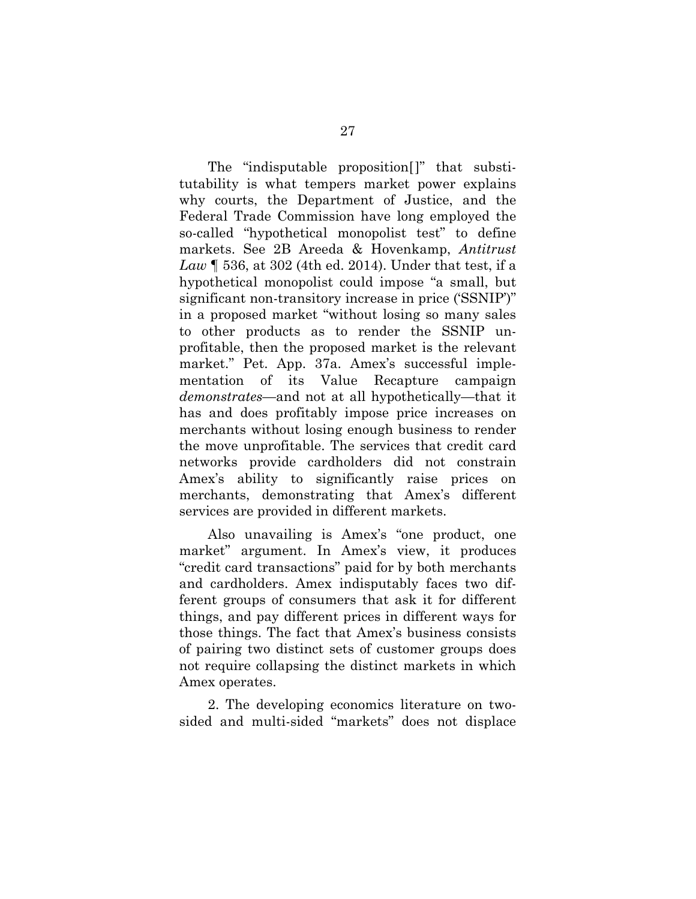The "indisputable proposition[]" that substitutability is what tempers market power explains why courts, the Department of Justice, and the Federal Trade Commission have long employed the so-called "hypothetical monopolist test" to define markets. See 2B Areeda & Hovenkamp, *Antitrust Law* ¶ 536, at 302 (4th ed. 2014). Under that test, if a hypothetical monopolist could impose "a small, but significant non-transitory increase in price ('SSNIP')" in a proposed market "without losing so many sales to other products as to render the SSNIP unprofitable, then the proposed market is the relevant market." Pet. App. 37a. Amex's successful implementation of its Value Recapture campaign *demonstrates*—and not at all hypothetically—that it has and does profitably impose price increases on merchants without losing enough business to render the move unprofitable. The services that credit card networks provide cardholders did not constrain Amex's ability to significantly raise prices on merchants, demonstrating that Amex's different services are provided in different markets.

Also unavailing is Amex's "one product, one market" argument. In Amex's view, it produces "credit card transactions" paid for by both merchants and cardholders. Amex indisputably faces two different groups of consumers that ask it for different things, and pay different prices in different ways for those things. The fact that Amex's business consists of pairing two distinct sets of customer groups does not require collapsing the distinct markets in which Amex operates.

2. The developing economics literature on twosided and multi-sided "markets" does not displace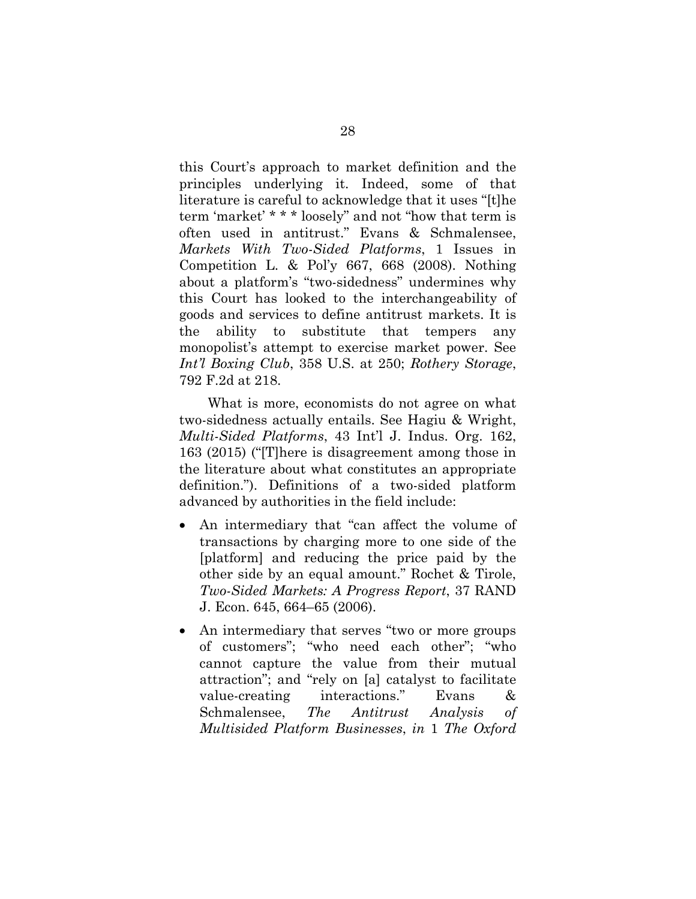this Court's approach to market definition and the principles underlying it. Indeed, some of that literature is careful to acknowledge that it uses "[t]he term 'market' \* \* \* loosely" and not "how that term is often used in antitrust." Evans & Schmalensee, *Markets With Two-Sided Platforms*, 1 Issues in Competition L. & Pol'y 667, 668 (2008). Nothing about a platform's "two-sidedness" undermines why this Court has looked to the interchangeability of goods and services to define antitrust markets. It is the ability to substitute that tempers any monopolist's attempt to exercise market power. See *Int'l Boxing Club*, 358 U.S. at 250; *Rothery Storage*, 792 F.2d at 218.

What is more, economists do not agree on what two-sidedness actually entails. See Hagiu & Wright, *Multi-Sided Platforms*, 43 Int'l J. Indus. Org. 162, 163 (2015) ("[T]here is disagreement among those in the literature about what constitutes an appropriate definition."). Definitions of a two-sided platform advanced by authorities in the field include:

- An intermediary that "can affect the volume of transactions by charging more to one side of the [platform] and reducing the price paid by the other side by an equal amount." Rochet & Tirole, *Two-Sided Markets: A Progress Report*, 37 RAND J. Econ. 645, 664–65 (2006).
- An intermediary that serves "two or more groups of customers"; "who need each other"; "who cannot capture the value from their mutual attraction"; and "rely on [a] catalyst to facilitate value-creating interactions." Evans & Schmalensee, *The Antitrust Analysis of Multisided Platform Businesses*, *in* 1 *The Oxford*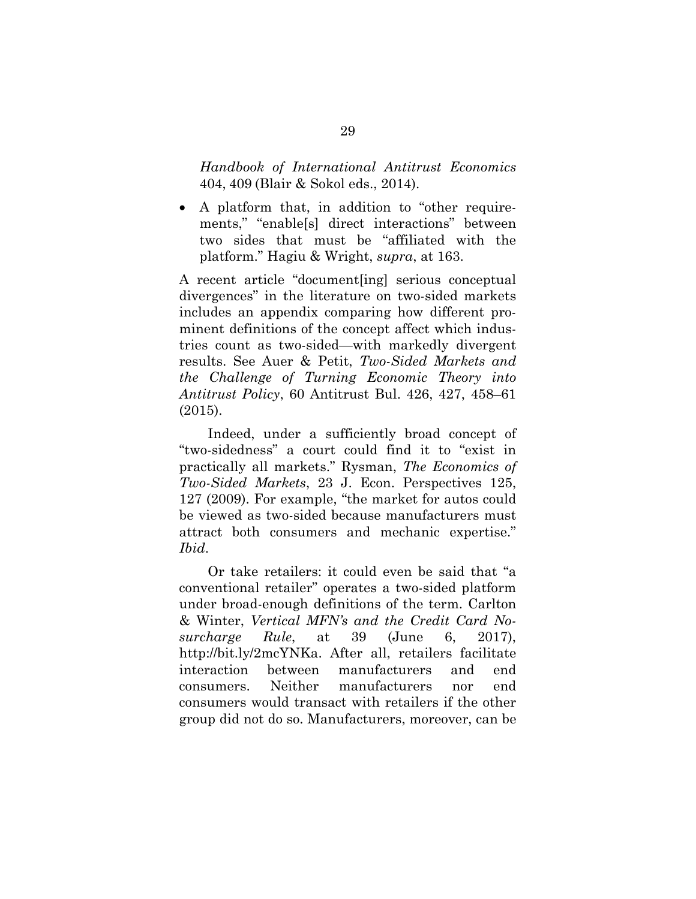*Handbook of International Antitrust Economics* 404, 409 (Blair & Sokol eds., 2014).

 A platform that, in addition to "other requirements," "enable[s] direct interactions" between two sides that must be "affiliated with the platform." Hagiu & Wright, *supra*, at 163.

A recent article "document[ing] serious conceptual divergences" in the literature on two-sided markets includes an appendix comparing how different prominent definitions of the concept affect which industries count as two-sided—with markedly divergent results. See Auer & Petit, *Two-Sided Markets and the Challenge of Turning Economic Theory into Antitrust Policy*, 60 Antitrust Bul. 426, 427, 458–61 (2015).

Indeed, under a sufficiently broad concept of "two-sidedness" a court could find it to "exist in practically all markets." Rysman, *The Economics of Two-Sided Markets*, 23 J. Econ. Perspectives 125, 127 (2009). For example, "the market for autos could be viewed as two-sided because manufacturers must attract both consumers and mechanic expertise." *Ibid*.

Or take retailers: it could even be said that "a conventional retailer" operates a two-sided platform under broad-enough definitions of the term. Carlton & Winter, *Vertical MFN's and the Credit Card Nosurcharge Rule*, at 39 (June 6, 2017), http://bit.ly/2mcYNKa. After all, retailers facilitate interaction between manufacturers and end consumers. Neither manufacturers nor end consumers would transact with retailers if the other group did not do so. Manufacturers, moreover, can be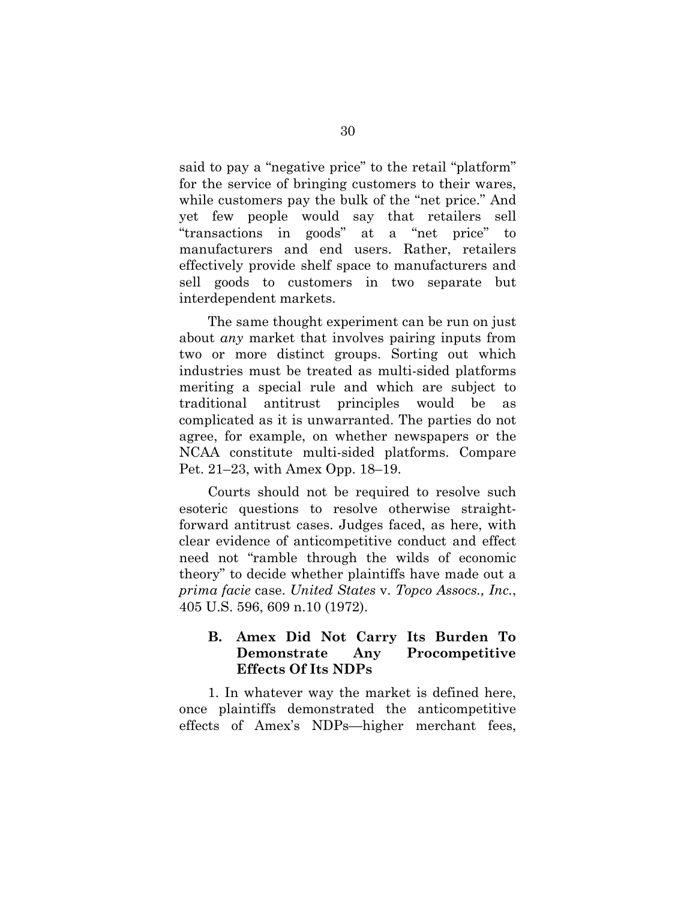said to pay a "negative price" to the retail "platform" for the service of bringing customers to their wares, while customers pay the bulk of the "net price." And yet few people would say that retailers sell "transactions in goods" at a "net price" to manufacturers and end users. Rather, retailers effectively provide shelf space to manufacturers and sell goods to customers in two separate but interdependent markets.

The same thought experiment can be run on just about *any* market that involves pairing inputs from two or more distinct groups. Sorting out which industries must be treated as multi-sided platforms meriting a special rule and which are subject to traditional antitrust principles would be as complicated as it is unwarranted. The parties do not agree, for example, on whether newspapers or the NCAA constitute multi-sided platforms. Compare Pet. 21–23, with Amex Opp. 18–19.

Courts should not be required to resolve such esoteric questions to resolve otherwise straightforward antitrust cases. Judges faced, as here, with clear evidence of anticompetitive conduct and effect need not "ramble through the wilds of economic theory" to decide whether plaintiffs have made out a *prima facie* case. *United States* v. *Topco Assocs., Inc.*, 405 U.S. 596, 609 n.10 (1972).

### **B. Amex Did Not Carry Its Burden To Demonstrate Any Procompetitive Effects Of Its NDPs**

1. In whatever way the market is defined here, once plaintiffs demonstrated the anticompetitive effects of Amex's NDPs—higher merchant fees,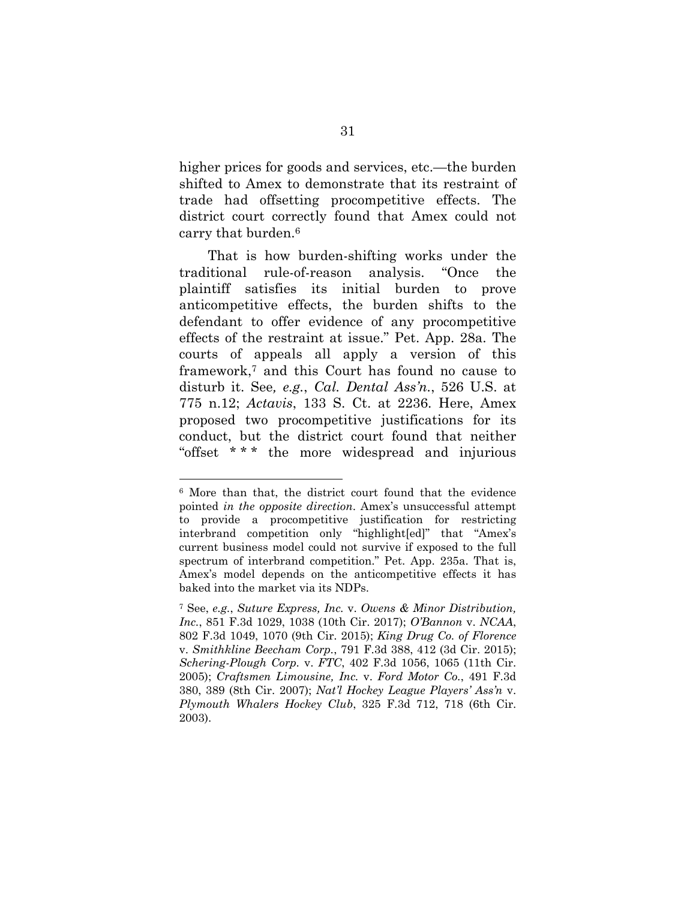higher prices for goods and services, etc.—the burden shifted to Amex to demonstrate that its restraint of trade had offsetting procompetitive effects. The district court correctly found that Amex could not carry that burden.6

That is how burden-shifting works under the traditional rule-of-reason analysis. "Once the plaintiff satisfies its initial burden to prove anticompetitive effects, the burden shifts to the defendant to offer evidence of any procompetitive effects of the restraint at issue." Pet. App. 28a. The courts of appeals all apply a version of this framework,7 and this Court has found no cause to disturb it. See*, e.g.*, *Cal. Dental Ass'n.*, 526 U.S. at 775 n.12; *Actavis*, 133 S. Ct. at 2236. Here, Amex proposed two procompetitive justifications for its conduct, but the district court found that neither "offset \* \* \* the more widespread and injurious

l

<sup>6</sup> More than that, the district court found that the evidence pointed *in the opposite direction*. Amex's unsuccessful attempt to provide a procompetitive justification for restricting interbrand competition only "highlight[ed]" that "Amex's current business model could not survive if exposed to the full spectrum of interbrand competition." Pet. App. 235a. That is, Amex's model depends on the anticompetitive effects it has baked into the market via its NDPs.

<sup>7</sup> See, *e.g.*, *Suture Express, Inc.* v. *Owens & Minor Distribution, Inc.*, 851 F.3d 1029, 1038 (10th Cir. 2017); *O'Bannon* v. *NCAA*, 802 F.3d 1049, 1070 (9th Cir. 2015); *King Drug Co. of Florence*  v. *Smithkline Beecham Corp.*, 791 F.3d 388, 412 (3d Cir. 2015); *Schering-Plough Corp.* v. *FTC*, 402 F.3d 1056, 1065 (11th Cir. 2005); *Craftsmen Limousine, Inc.* v. *Ford Motor Co.*, 491 F.3d 380, 389 (8th Cir. 2007); *Nat'l Hockey League Players' Ass'n* v. *Plymouth Whalers Hockey Club*, 325 F.3d 712, 718 (6th Cir. 2003).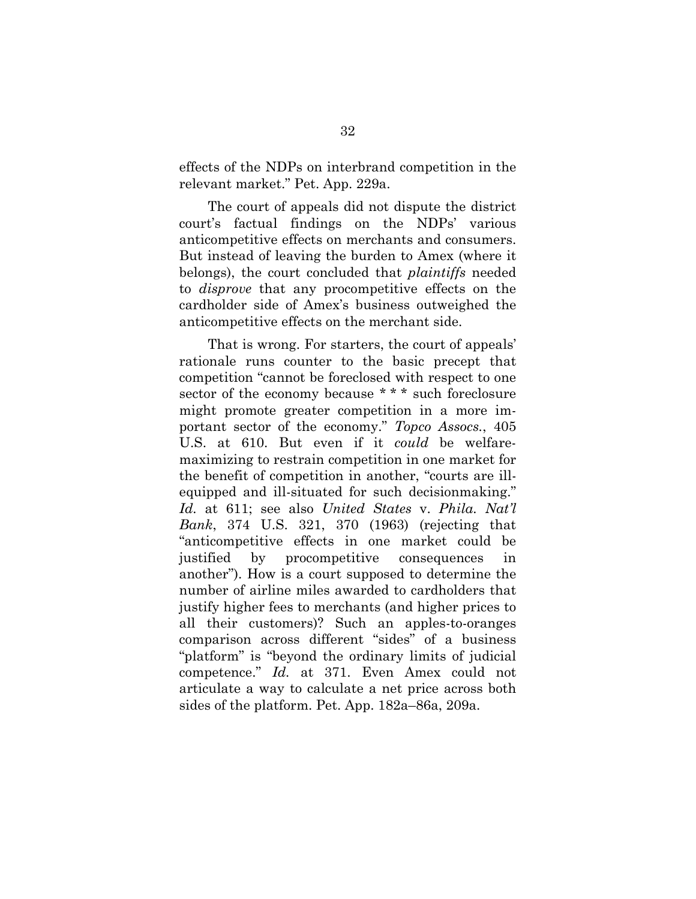effects of the NDPs on interbrand competition in the relevant market." Pet. App. 229a.

The court of appeals did not dispute the district court's factual findings on the NDPs' various anticompetitive effects on merchants and consumers. But instead of leaving the burden to Amex (where it belongs), the court concluded that *plaintiffs* needed to *disprove* that any procompetitive effects on the cardholder side of Amex's business outweighed the anticompetitive effects on the merchant side.

That is wrong. For starters, the court of appeals' rationale runs counter to the basic precept that competition "cannot be foreclosed with respect to one sector of the economy because \*\*\* such foreclosure might promote greater competition in a more important sector of the economy." *Topco Assocs.*, 405 U.S. at 610. But even if it *could* be welfaremaximizing to restrain competition in one market for the benefit of competition in another, "courts are illequipped and ill-situated for such decisionmaking." *Id.* at 611; see also *United States* v. *Phila. Nat'l Bank*, 374 U.S. 321, 370 (1963) (rejecting that "anticompetitive effects in one market could be justified by procompetitive consequences in another"). How is a court supposed to determine the number of airline miles awarded to cardholders that justify higher fees to merchants (and higher prices to all their customers)? Such an apples-to-oranges comparison across different "sides" of a business "platform" is "beyond the ordinary limits of judicial competence." *Id.* at 371. Even Amex could not articulate a way to calculate a net price across both sides of the platform. Pet. App. 182a–86a, 209a.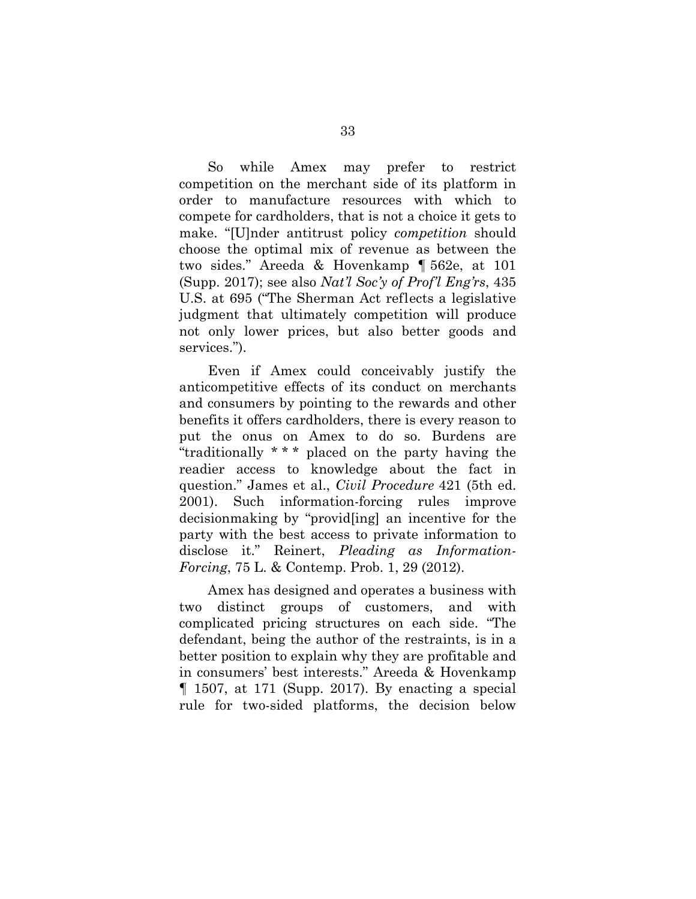So while Amex may prefer to restrict competition on the merchant side of its platform in order to manufacture resources with which to compete for cardholders, that is not a choice it gets to make. "[U]nder antitrust policy *competition* should choose the optimal mix of revenue as between the two sides." Areeda & Hovenkamp ¶ 562e, at 101 (Supp. 2017); see also *Nat'l Soc'y of Prof'l Eng'rs*, 435 U.S. at 695 ("The Sherman Act reflects a legislative judgment that ultimately competition will produce not only lower prices, but also better goods and services.").

Even if Amex could conceivably justify the anticompetitive effects of its conduct on merchants and consumers by pointing to the rewards and other benefits it offers cardholders, there is every reason to put the onus on Amex to do so. Burdens are "traditionally \* \* \* placed on the party having the readier access to knowledge about the fact in question." James et al., *Civil Procedure* 421 (5th ed. 2001). Such information-forcing rules improve decisionmaking by "provid[ing] an incentive for the party with the best access to private information to disclose it." Reinert, *Pleading as Information-Forcing*, 75 L. & Contemp. Prob. 1, 29 (2012).

Amex has designed and operates a business with two distinct groups of customers, and with complicated pricing structures on each side. "The defendant, being the author of the restraints, is in a better position to explain why they are profitable and in consumers' best interests." Areeda & Hovenkamp ¶ 1507, at 171 (Supp. 2017). By enacting a special rule for two-sided platforms, the decision below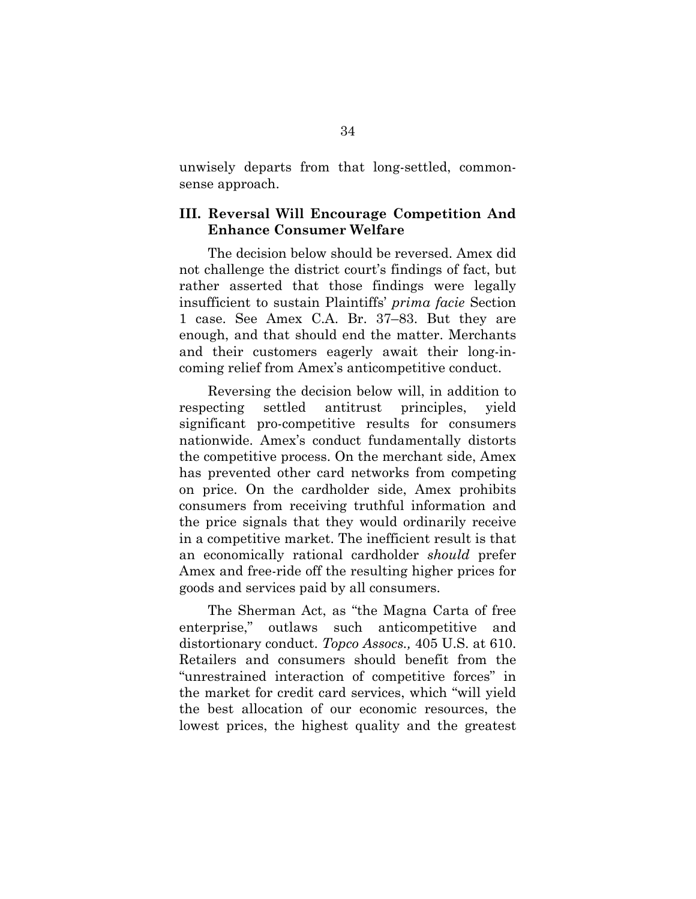unwisely departs from that long-settled, commonsense approach.

### **III. Reversal Will Encourage Competition And Enhance Consumer Welfare**

The decision below should be reversed. Amex did not challenge the district court's findings of fact, but rather asserted that those findings were legally insufficient to sustain Plaintiffs' *prima facie* Section 1 case. See Amex C.A. Br. 37–83. But they are enough, and that should end the matter. Merchants and their customers eagerly await their long-incoming relief from Amex's anticompetitive conduct.

Reversing the decision below will, in addition to respecting settled antitrust principles, yield significant pro-competitive results for consumers nationwide. Amex's conduct fundamentally distorts the competitive process. On the merchant side, Amex has prevented other card networks from competing on price. On the cardholder side, Amex prohibits consumers from receiving truthful information and the price signals that they would ordinarily receive in a competitive market. The inefficient result is that an economically rational cardholder *should* prefer Amex and free-ride off the resulting higher prices for goods and services paid by all consumers.

The Sherman Act, as "the Magna Carta of free enterprise," outlaws such anticompetitive and distortionary conduct. *Topco Assocs.,* 405 U.S. at 610. Retailers and consumers should benefit from the "unrestrained interaction of competitive forces" in the market for credit card services, which "will yield the best allocation of our economic resources, the lowest prices, the highest quality and the greatest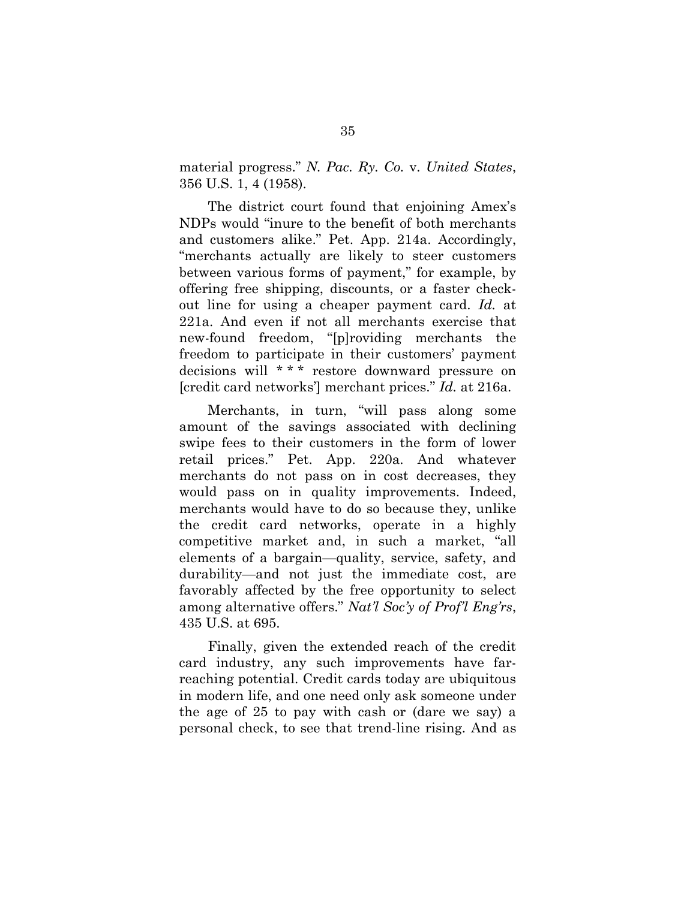material progress." *N. Pac. Ry. Co.* v. *United States*, 356 U.S. 1, 4 (1958).

The district court found that enjoining Amex's NDPs would "inure to the benefit of both merchants and customers alike." Pet. App. 214a. Accordingly, "merchants actually are likely to steer customers between various forms of payment," for example, by offering free shipping, discounts, or a faster checkout line for using a cheaper payment card. *Id.* at 221a. And even if not all merchants exercise that new-found freedom, "[p]roviding merchants the freedom to participate in their customers' payment decisions will \*\*\* restore downward pressure on [credit card networks'] merchant prices." *Id.* at 216a.

Merchants, in turn, "will pass along some amount of the savings associated with declining swipe fees to their customers in the form of lower retail prices." Pet. App. 220a. And whatever merchants do not pass on in cost decreases, they would pass on in quality improvements. Indeed, merchants would have to do so because they, unlike the credit card networks, operate in a highly competitive market and, in such a market, "all elements of a bargain—quality, service, safety, and durability—and not just the immediate cost, are favorably affected by the free opportunity to select among alternative offers." *Nat'l Soc'y of Prof'l Eng'rs*, 435 U.S. at 695.

Finally, given the extended reach of the credit card industry, any such improvements have farreaching potential. Credit cards today are ubiquitous in modern life, and one need only ask someone under the age of 25 to pay with cash or (dare we say) a personal check, to see that trend-line rising. And as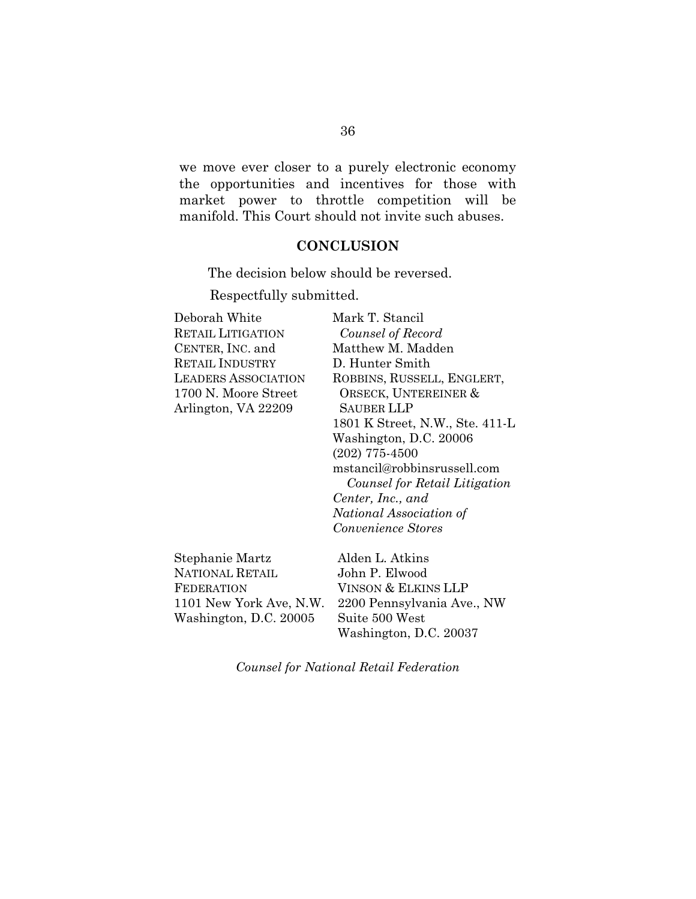we move ever closer to a purely electronic economy the opportunities and incentives for those with market power to throttle competition will be manifold. This Court should not invite such abuses.

#### **CONCLUSION**

The decision below should be reversed.

Respectfully submitted.

| Deborah White              | Mark T. Stancil                 |
|----------------------------|---------------------------------|
| <b>RETAIL LITIGATION</b>   | Counsel of Record               |
| CENTER, INC. and           | Matthew M. Madden               |
| RETAIL INDUSTRY            | D. Hunter Smith                 |
| <b>LEADERS ASSOCIATION</b> | ROBBINS, RUSSELL, ENGLERT,      |
| 1700 N. Moore Street       | ORSECK, UNTEREINER &            |
| Arlington, VA 22209        | SAUBER LLP                      |
|                            | 1801 K Street, N.W., Ste. 411-L |
|                            | Washington, D.C. 20006          |
|                            | $(202)$ 775-4500                |
|                            | mstancil@robbinsrussell.com     |
|                            | Counsel for Retail Litigation   |
|                            | Center, Inc., and               |
|                            | National Association of         |
|                            | Convenience Stores              |
| Stephanie Martz            | Alden L. Atkins                 |
| <b>NATIONAL RETAIL</b>     | John P. Elwood                  |
| FEDERATION                 | Vinson & Elkins LLP             |

FEDERATION 1101 New York Ave, N.W. Washington, D.C. 20005

VINSON & ELKINS LLP 2200 Pennsylvania Ave., NW Suite 500 West Washington, D.C. 20037

*Counsel for National Retail Federation*